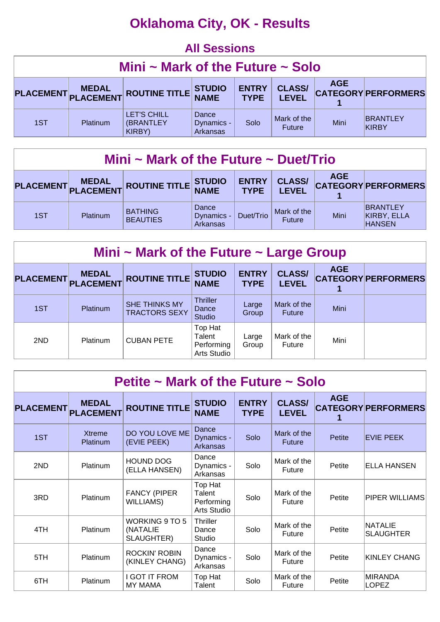# **Oklahoma City, OK - Results**

#### **All Sessions Mini ~ Mark of the Future ~ Solo PLACEMENT MEDAL PLACEMENT ROUTINE TITLE STUDIO NAME ENTRY TYPE CLASS/ LEVEL AGE CATEGORY PERFORMERS 1** 1ST | Platinum LET'S CHILL (BRANTLEY KIRBY) **Dance** Dynamics - Arkansas Solo  $\begin{array}{c|c}\n\text{Mark of the} \\
\text{Future}\n\end{array}$ Mini BRANTLEY KIRBY

| Mini ~ Mark of the Future ~ Duet/Trio                                                                                                            |                 |                                   |                                                |           |                              |      |                                                 |  |  |
|--------------------------------------------------------------------------------------------------------------------------------------------------|-----------------|-----------------------------------|------------------------------------------------|-----------|------------------------------|------|-------------------------------------------------|--|--|
| <b>AGE</b><br><b>CLASS/</b><br><b>ENTRY</b><br>PLACEMENT MEDAL ROUTINE TITLE STUDIO<br><b>CATEGORY PERFORMERS</b><br><b>TYPE</b><br><b>LEVEL</b> |                 |                                   |                                                |           |                              |      |                                                 |  |  |
| 1ST                                                                                                                                              | <b>Platinum</b> | <b>BATHING</b><br><b>BEAUTIES</b> | Dance<br>Dynamics - $\vert$<br><b>Arkansas</b> | Duet/Trio | Mark of the<br><b>Future</b> | Mini | <b>BRANTLEY</b><br>KIRBY, ELLA<br><b>HANSEN</b> |  |  |

| Mini $\sim$ Mark of the Future $\sim$ Large Group |                           |                                       |                                                |                             |                               |            |                            |  |  |  |
|---------------------------------------------------|---------------------------|---------------------------------------|------------------------------------------------|-----------------------------|-------------------------------|------------|----------------------------|--|--|--|
| <b>PLACEMENT</b>                                  | <b>MEDAL</b><br>PLACEMENT | <b>ROUTINE TITLE</b>                  | <b>STUDIO</b><br><b>NAME</b>                   | <b>ENTRY</b><br><b>TYPE</b> | <b>CLASS/</b><br><b>LEVEL</b> | <b>AGE</b> | <b>CATEGORY PERFORMERS</b> |  |  |  |
| 1ST                                               | Platinum                  | SHE THINKS MY<br><b>TRACTORS SEXY</b> | <b>Thriller</b><br>Dance<br><b>Studio</b>      | Large<br>Group              | Mark of the<br><b>Future</b>  | Mini       |                            |  |  |  |
| 2ND                                               | Platinum                  | <b>CUBAN PETE</b>                     | Top Hat<br>Talent<br>Performing<br>Arts Studio | Large<br>Group              | Mark of the<br>Future         | Mini       |                            |  |  |  |

| Petite $\sim$ Mark of the Future $\sim$ Solo |                                  |                                          |                                                |                             |                               |            |                             |  |  |  |
|----------------------------------------------|----------------------------------|------------------------------------------|------------------------------------------------|-----------------------------|-------------------------------|------------|-----------------------------|--|--|--|
| <b>PLACEMENT</b>                             | <b>MEDAL</b><br><b>PLACEMENT</b> | <b>ROUTINE TITLE</b>                     | <b>STUDIO</b><br><b>NAME</b>                   | <b>ENTRY</b><br><b>TYPE</b> | <b>CLASS/</b><br><b>LEVEL</b> | <b>AGE</b> | <b>CATEGORY PERFORMERS</b>  |  |  |  |
| 1ST                                          | <b>Xtreme</b><br>Platinum        | DO YOU LOVE ME<br>(EVIE PEEK)            | Dance<br>Dynamics -<br>Arkansas                | Solo                        | Mark of the<br><b>Future</b>  | Petite     | <b>EVIE PEEK</b>            |  |  |  |
| 2ND                                          | <b>Platinum</b>                  | <b>HOUND DOG</b><br>(ELLA HANSEN)        | Dance<br>Dynamics -<br>Arkansas                | Solo                        | Mark of the<br>Future         | Petite     | ELLA HANSEN                 |  |  |  |
| 3RD                                          | Platinum                         | <b>FANCY (PIPER</b><br><b>WILLIAMS</b> ) | Top Hat<br>Talent<br>Performing<br>Arts Studio | Solo                        | Mark of the<br>Future         | Petite     | PIPER WILLIAMS              |  |  |  |
| 4TH                                          | Platinum                         | WORKING 9 TO 5<br>(NATALIE<br>SLAUGHTER) | <b>Thriller</b><br>Dance<br>Studio             | Solo                        | Mark of the<br>Future         | Petite     | NATALIE<br><b>SLAUGHTER</b> |  |  |  |
| 5TH                                          | Platinum                         | <b>ROCKIN' ROBIN</b><br>(KINLEY CHANG)   | Dance<br>Dynamics -<br>Arkansas                | Solo                        | Mark of the<br>Future         | Petite     | <b>KINLEY CHANG</b>         |  |  |  |
| 6TH                                          | Platinum                         | I GOT IT FROM<br><b>MY MAMA</b>          | Top Hat<br>Talent                              | Solo                        | Mark of the<br>Future         | Petite     | MIRANDA<br>LOPEZ            |  |  |  |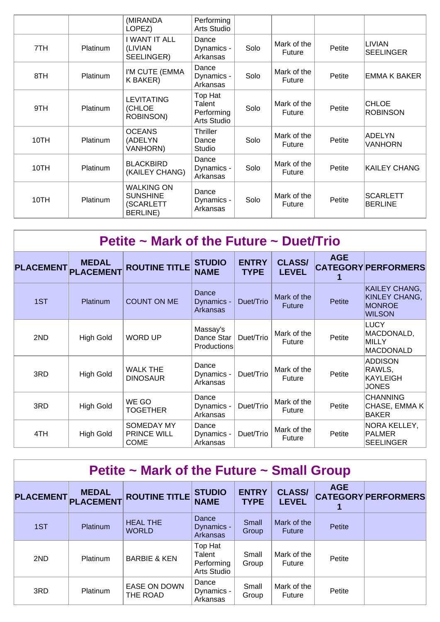|      |                 | (MIRANDA<br>LOPEZ)                                                    | Performing<br>Arts Studio                      |      |                              |        |                                 |
|------|-----------------|-----------------------------------------------------------------------|------------------------------------------------|------|------------------------------|--------|---------------------------------|
| 7TH  | <b>Platinum</b> | I WANT IT ALL<br>(LIVIAN<br>SEELINGER)                                | Dance<br>Dynamics -<br>Arkansas                | Solo | Mark of the<br><b>Future</b> | Petite | LIVIAN<br><b>SEELINGER</b>      |
| 8TH  | <b>Platinum</b> | I'M CUTE (EMMA<br>K BAKER)                                            | Dance<br>Dynamics -<br>Arkansas                | Solo | Mark of the<br><b>Future</b> | Petite | <b>EMMA K BAKER</b>             |
| 9TH  | Platinum        | <b>LEVITATING</b><br>(CHLOE<br><b>ROBINSON)</b>                       | Top Hat<br>Talent<br>Performing<br>Arts Studio | Solo | Mark of the<br><b>Future</b> | Petite | <b>CHLOE</b><br><b>ROBINSON</b> |
| 10TH | Platinum        | <b>OCEANS</b><br>(ADELYN<br><b>VANHORN)</b>                           | <b>Thriller</b><br>Dance<br>Studio             | Solo | Mark of the<br>Future        | Petite | <b>ADELYN</b><br>VANHORN        |
| 10TH | Platinum        | <b>BLACKBIRD</b><br>(KAILEY CHANG)                                    | Dance<br>Dynamics -<br>Arkansas                | Solo | Mark of the<br><b>Future</b> | Petite | <b>KAILEY CHANG</b>             |
| 10TH | Platinum        | <b>WALKING ON</b><br><b>SUNSHINE</b><br>(SCARLETT<br><b>BERLINE</b> ) | Dance<br>Dynamics -<br>Arkansas                | Solo | Mark of the<br>Future        | Petite | <b>SCARLETT</b><br>BERLINE      |

| Petite ~ Mark of the Future ~ Duet/Trio |                                  |                                                 |                                        |                             |                               |            |                                                                         |  |  |  |
|-----------------------------------------|----------------------------------|-------------------------------------------------|----------------------------------------|-----------------------------|-------------------------------|------------|-------------------------------------------------------------------------|--|--|--|
| <b>PLACEMENT</b>                        | <b>MEDAL</b><br><b>PLACEMENT</b> | <b>ROUTINE TITLE</b>                            | <b>STUDIO</b><br><b>NAME</b>           | <b>ENTRY</b><br><b>TYPE</b> | <b>CLASS/</b><br><b>LEVEL</b> | <b>AGE</b> | <b>CATEGORY PERFORMERS</b>                                              |  |  |  |
| 1ST                                     | Platinum                         | <b>COUNT ON ME</b>                              | Dance<br>Dynamics -<br><b>Arkansas</b> | Duet/Trio                   | Mark of the<br><b>Future</b>  | Petite     | KAILEY CHANG,<br><b>KINLEY CHANG,</b><br><b>MONROE</b><br><b>WILSON</b> |  |  |  |
| 2ND                                     | <b>High Gold</b>                 | <b>WORD UP</b>                                  | Massay's<br>Dance Star<br>Productions  | Duet/Trio                   | Mark of the<br><b>Future</b>  | Petite     | <b>LUCY</b><br>MACDONALD,<br>MILLY<br>MACDONALD                         |  |  |  |
| 3RD                                     | <b>High Gold</b>                 | <b>WALK THE</b><br><b>DINOSAUR</b>              | Dance<br>Dynamics -<br>Arkansas        | Duet/Trio                   | Mark of the<br>Future         | Petite     | <b>ADDISON</b><br>RAWLS,<br>KAYLEIGH<br>JONES                           |  |  |  |
| 3RD                                     | <b>High Gold</b>                 | WE GO<br><b>TOGETHER</b>                        | Dance<br>Dynamics -<br>Arkansas        | Duet/Trio                   | Mark of the<br>Future         | Petite     | <b>CHANNING</b><br>CHASE, EMMA K<br>BAKER                               |  |  |  |
| 4TH                                     | <b>High Gold</b>                 | SOMEDAY MY<br><b>PRINCE WILL</b><br><b>COME</b> | Dance<br>Dynamics -<br>Arkansas        | Duet/Trio                   | Mark of the<br><b>Future</b>  | Petite     | NORA KELLEY,<br>PALMER<br><b>SEELINGER</b>                              |  |  |  |

| Petite $\sim$ Mark of the Future $\sim$ Small Group |                                     |                                 |                                                |                             |                               |            |                            |  |  |  |
|-----------------------------------------------------|-------------------------------------|---------------------------------|------------------------------------------------|-----------------------------|-------------------------------|------------|----------------------------|--|--|--|
|                                                     | <b>MEDAL</b><br>PLACEMENT PLACEMENT | <b>ROUTINE TITLE</b>            | <b>STUDIO</b><br><b>NAME</b>                   | <b>ENTRY</b><br><b>TYPE</b> | <b>CLASS/</b><br><b>LEVEL</b> | <b>AGE</b> | <b>CATEGORY PERFORMERS</b> |  |  |  |
| 1ST                                                 | Platinum                            | <b>HEAL THE</b><br><b>WORLD</b> | Dance<br>Dynamics -<br>Arkansas                | Small<br>Group              | Mark of the<br><b>Future</b>  | Petite     |                            |  |  |  |
| 2ND                                                 | Platinum                            | <b>BARBIE &amp; KEN</b>         | Top Hat<br>Talent<br>Performing<br>Arts Studio | Small<br>Group              | Mark of the<br>Future         | Petite     |                            |  |  |  |
| 3RD                                                 | Platinum                            | <b>EASE ON DOWN</b><br>THE ROAD | Dance<br>Dynamics -<br>Arkansas                | Small<br>Group              | Mark of the<br>Future         | Petite     |                            |  |  |  |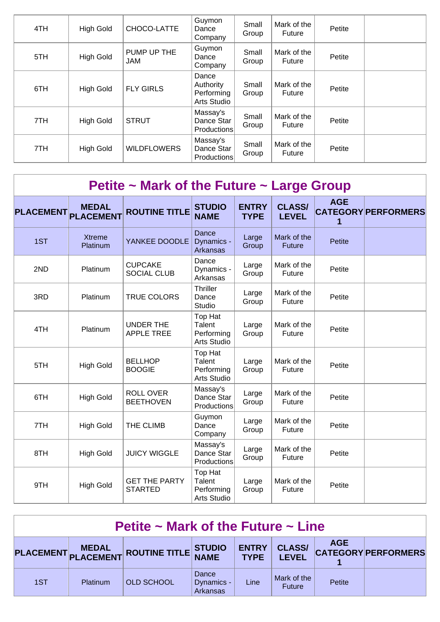| 4TH | <b>High Gold</b> | CHOCO-LATTE               | Guymon<br>Dance<br>Company                      | Small<br>Group | Mark of the<br>Future | Petite |  |
|-----|------------------|---------------------------|-------------------------------------------------|----------------|-----------------------|--------|--|
| 5TH | <b>High Gold</b> | PUMP UP THE<br><b>JAM</b> | Guymon<br>Dance<br>Company                      | Small<br>Group | Mark of the<br>Future | Petite |  |
| 6TH | <b>High Gold</b> | <b>FLY GIRLS</b>          | Dance<br>Authority<br>Performing<br>Arts Studio | Small<br>Group | Mark of the<br>Future | Petite |  |
| 7TH | <b>High Gold</b> | <b>STRUT</b>              | Massay's<br>Dance Star<br>Productions           | Small<br>Group | Mark of the<br>Future | Petite |  |
| 7TH | <b>High Gold</b> | <b>WILDFLOWERS</b>        | Massay's<br>Dance Star<br>Productions           | Small<br>Group | Mark of the<br>Future | Petite |  |

| <b>PLACEMENT</b> | <b>MEDAL</b><br><b>PLACEMENT</b> | <b>ROUTINE TITLE</b>                   | <b>STUDIO</b><br><b>NAME</b>                          | <b>ENTRY</b><br><b>TYPE</b> | <b>CLASS/</b><br><b>LEVEL</b> | <b>AGE</b><br>1 | <b>CATEGORY PERFORMERS</b> |
|------------------|----------------------------------|----------------------------------------|-------------------------------------------------------|-----------------------------|-------------------------------|-----------------|----------------------------|
| 1ST              | <b>Xtreme</b><br>Platinum        | YANKEE DOODLE                          | Dance<br>Dynamics -<br>Arkansas                       | Large<br>Group              | Mark of the<br><b>Future</b>  | <b>Petite</b>   |                            |
| 2ND              | Platinum                         | <b>CUPCAKE</b><br><b>SOCIAL CLUB</b>   | Dance<br>Dynamics -<br>Arkansas                       | Large<br>Group              | Mark of the<br>Future         | Petite          |                            |
| 3RD              | Platinum                         | <b>TRUE COLORS</b>                     | <b>Thriller</b><br>Dance<br>Studio                    | Large<br>Group              | Mark of the<br>Future         | Petite          |                            |
| 4TH              | Platinum                         | <b>UNDER THE</b><br><b>APPLE TREE</b>  | Top Hat<br>Talent<br>Performing<br><b>Arts Studio</b> | Large<br>Group              | Mark of the<br>Future         | Petite          |                            |
| 5TH              | <b>High Gold</b>                 | <b>BELLHOP</b><br><b>BOOGIE</b>        | Top Hat<br>Talent<br>Performing<br><b>Arts Studio</b> | Large<br>Group              | Mark of the<br>Future         | Petite          |                            |
| 6TH              | <b>High Gold</b>                 | <b>ROLL OVER</b><br><b>BEETHOVEN</b>   | Massay's<br>Dance Star<br>Productions                 | Large<br>Group              | Mark of the<br>Future         | Petite          |                            |
| 7TH              | <b>High Gold</b>                 | THE CLIMB                              | Guymon<br>Dance<br>Company                            | Large<br>Group              | Mark of the<br>Future         | Petite          |                            |
| 8TH              | <b>High Gold</b>                 | <b>JUICY WIGGLE</b>                    | Massay's<br>Dance Star<br>Productions                 | Large<br>Group              | Mark of the<br>Future         | Petite          |                            |
| 9TH              | <b>High Gold</b>                 | <b>GET THE PARTY</b><br><b>STARTED</b> | Top Hat<br>Talent<br>Performing<br><b>Arts Studio</b> | Large<br>Group              | Mark of the<br>Future         | Petite          |                            |

| Petite $\sim$ Mark of the Future $\sim$ Line |          |                                      |                                        |                             |                               |            |                            |  |  |
|----------------------------------------------|----------|--------------------------------------|----------------------------------------|-----------------------------|-------------------------------|------------|----------------------------|--|--|
|                                              |          | PLACEMENT MEDAL ROUTINE TITLE STUDIO |                                        | <b>ENTRY</b><br><b>TYPE</b> | <b>CLASS/</b><br><b>LEVEL</b> | <b>AGE</b> | <b>CATEGORY PERFORMERS</b> |  |  |
| 1ST                                          | Platinum | <b>OLD SCHOOL</b>                    | Dance<br>Dynamics -<br><b>Arkansas</b> | Line                        | Mark of the<br><b>Future</b>  | Petite     |                            |  |  |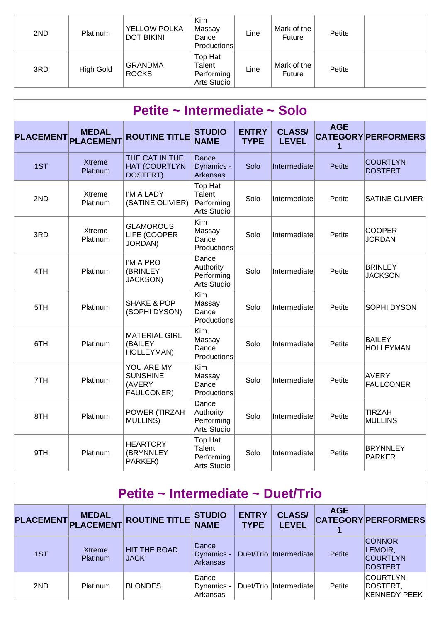| 2ND | Platinum  | <b>YELLOW POLKA</b><br><b>DOT BIKINI</b> | Kim<br>Massay<br>Dance<br>Productions          | Line | Mark of the<br><b>Future</b> | Petite |  |
|-----|-----------|------------------------------------------|------------------------------------------------|------|------------------------------|--------|--|
| 3RD | High Gold | <b>GRANDMA</b><br><b>ROCKS</b>           | Top Hat<br>Talent<br>Performing<br>Arts Studio | Line | Mark of the<br><b>Future</b> | Petite |  |

|                  | Petite ~ Intermediate ~ Solo     |                                                       |                                                       |                             |                               |                 |                                   |  |  |  |  |  |
|------------------|----------------------------------|-------------------------------------------------------|-------------------------------------------------------|-----------------------------|-------------------------------|-----------------|-----------------------------------|--|--|--|--|--|
| <b>PLACEMENT</b> | <b>MEDAL</b><br><b>PLACEMENT</b> | <b>ROUTINE TITLE</b>                                  | <b>STUDIO</b><br><b>NAME</b>                          | <b>ENTRY</b><br><b>TYPE</b> | <b>CLASS/</b><br><b>LEVEL</b> | <b>AGE</b><br>1 | <b>CATEGORY PERFORMERS</b>        |  |  |  |  |  |
| 1ST              | <b>Xtreme</b><br>Platinum        | THE CAT IN THE<br><b>HAT (COURTLYN</b><br>DOSTERT)    | Dance<br>Dynamics -<br><b>Arkansas</b>                | Solo                        | Intermediate                  | Petite          | <b>COURTLYN</b><br><b>DOSTERT</b> |  |  |  |  |  |
| 2ND              | Xtreme<br>Platinum               | I'M A LADY<br>(SATINE OLIVIER)                        | Top Hat<br>Talent<br>Performing<br>Arts Studio        | Solo                        | Intermediate                  | Petite          | <b>SATINE OLIVIER</b>             |  |  |  |  |  |
| 3RD              | <b>Xtreme</b><br>Platinum        | <b>GLAMOROUS</b><br>LIFE (COOPER<br>JORDAN)           | Kim<br>Massay<br>Dance<br>Productions                 | Solo                        | Intermediate                  | Petite          | <b>COOPER</b><br><b>JORDAN</b>    |  |  |  |  |  |
| 4TH              | Platinum                         | I'M A PRO<br>(BRINLEY)<br><b>JACKSON)</b>             | Dance<br>Authority<br>Performing<br>Arts Studio       | Solo                        | Intermediate                  | Petite          | <b>BRINLEY</b><br><b>JACKSON</b>  |  |  |  |  |  |
| 5TH              | Platinum                         | <b>SHAKE &amp; POP</b><br>(SOPHI DYSON)               | Kim<br>Massay<br>Dance<br>Productions                 | Solo                        | Intermediate                  | Petite          | <b>SOPHI DYSON</b>                |  |  |  |  |  |
| 6TH              | Platinum                         | <b>MATERIAL GIRL</b><br>(BAILEY<br>HOLLEYMAN)         | Kim<br>Massay<br>Dance<br>Productions                 | Solo                        | Intermediate                  | Petite          | <b>BAILEY</b><br><b>HOLLEYMAN</b> |  |  |  |  |  |
| 7TH              | Platinum                         | YOU ARE MY<br><b>SUNSHINE</b><br>(AVERY<br>FAULCONER) | Kim<br>Massay<br>Dance<br>Productions                 | Solo                        | Intermediate                  | Petite          | <b>AVERY</b><br><b>FAULCONER</b>  |  |  |  |  |  |
| 8TH              | Platinum                         | POWER (TIRZAH<br><b>MULLINS)</b>                      | Dance<br>Authority<br>Performing<br>Arts Studio       | Solo                        | Intermediate                  | Petite          | <b>TIRZAH</b><br><b>MULLINS</b>   |  |  |  |  |  |
| 9TH              | Platinum                         | <b>HEARTCRY</b><br>(BRYNNLEY<br>PARKER)               | Top Hat<br>Talent<br>Performing<br><b>Arts Studio</b> | Solo                        | Intermediate                  | Petite          | <b>BRYNNLEY</b><br>PARKER         |  |  |  |  |  |

| Petite ~ Intermediate ~ Duet/Trio |                           |                                    |                                     |                             |                               |            |                                                               |  |  |  |
|-----------------------------------|---------------------------|------------------------------------|-------------------------------------|-----------------------------|-------------------------------|------------|---------------------------------------------------------------|--|--|--|
| <b>PLACEMENT</b>                  | MEDAL<br>PLACEMENT        | <b>ROUTINE TITLE</b>               | <b>STUDIO</b><br><b>NAME</b>        | <b>ENTRY</b><br><b>TYPE</b> | <b>CLASS/</b><br><b>LEVEL</b> | <b>AGE</b> | <b>CATEGORY PERFORMERS</b>                                    |  |  |  |
| 1ST                               | Xtreme<br><b>Platinum</b> | <b>HIT THE ROAD</b><br><b>JACK</b> | Dance<br>Dynamics - $ $<br>Arkansas |                             | Duet/Trio Intermediate        | Petite     | <b>CONNOR</b><br>LEMOIR,<br><b>COURTLYN</b><br><b>DOSTERT</b> |  |  |  |
| 2ND                               | <b>Platinum</b>           | <b>BLONDES</b>                     | Dance<br>Dynamics -<br>Arkansas     |                             | Duet/Trio Intermediate        | Petite     | <b>COURTLYN</b><br>DOSTERT,<br><b>KENNEDY PEEK</b>            |  |  |  |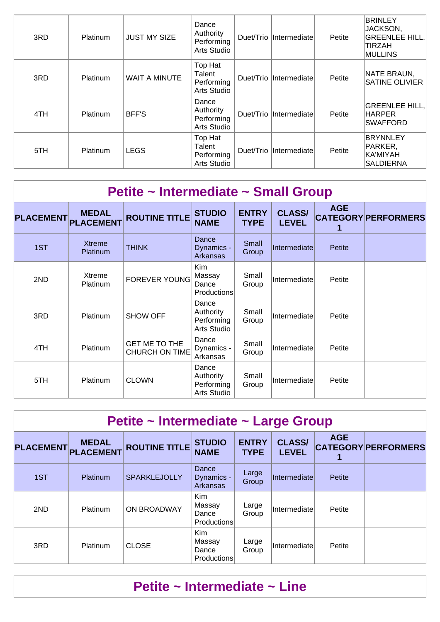| 3RD | Platinum        | <b>JUST MY SIZE</b> | Dance<br>Authority<br>Performing<br>Arts Studio |           | Duet/Trio Intermediate | Petite | <b>BRINLEY</b><br>JACKSON,<br><b>GREENLEE HILL,</b><br>TIRZAH<br><b>MULLINS</b> |
|-----|-----------------|---------------------|-------------------------------------------------|-----------|------------------------|--------|---------------------------------------------------------------------------------|
| 3RD | <b>Platinum</b> | WAIT A MINUTE       | Top Hat<br>Talent<br>Performing<br>Arts Studio  |           | Duet/Trio Intermediate | Petite | NATE BRAUN,<br><b>SATINE OLIVIER</b>                                            |
| 4TH | Platinum        | <b>BFF'S</b>        | Dance<br>Authority<br>Performing<br>Arts Studio |           | Duet/Trio Intermediate | Petite | <b>GREENLEE HILL,</b><br><b>HARPER</b><br><b>SWAFFORD</b>                       |
| 5TH | Platinum        | <b>LEGS</b>         | Top Hat<br>Talent<br>Performing<br>Arts Studio  | Duet/Trio | Intermediate           | Petite | <b>BRYNNLEY</b><br>PARKER,<br>KA'MIYAH<br><b>SALDIERNA</b>                      |

|                  | Petite ~ Intermediate ~ Small Group |                                        |                                                     |                             |                               |               |                            |  |  |  |  |
|------------------|-------------------------------------|----------------------------------------|-----------------------------------------------------|-----------------------------|-------------------------------|---------------|----------------------------|--|--|--|--|
| <b>PLACEMENT</b> | <b>MEDAL</b><br><b>PLACEMENT</b>    | <b>ROUTINE TITLE</b>                   | <b>STUDIO</b><br><b>NAME</b>                        | <b>ENTRY</b><br><b>TYPE</b> | <b>CLASS/</b><br><b>LEVEL</b> | <b>AGE</b>    | <b>CATEGORY PERFORMERS</b> |  |  |  |  |
| 1ST              | <b>Xtreme</b><br>Platinum           | <b>THINK</b>                           | Dance<br>Dynamics -<br>Arkansas                     | Small<br>Group              | Intermediate                  | <b>Petite</b> |                            |  |  |  |  |
| 2ND              | Xtreme<br>Platinum                  | <b>FOREVER YOUNG</b>                   | <b>Kim</b><br>Massay<br>Dance<br><b>Productions</b> | Small<br>Group              | Intermediate                  | Petite        |                            |  |  |  |  |
| 3RD              | Platinum                            | <b>SHOW OFF</b>                        | Dance<br>Authority<br>Performing<br>Arts Studio     | Small<br>Group              | Intermediate                  | Petite        |                            |  |  |  |  |
| 4TH              | Platinum                            | GET ME TO THE<br><b>CHURCH ON TIME</b> | Dance<br>Dynamics -<br>Arkansas                     | Small<br>Group              | Intermediate                  | Petite        |                            |  |  |  |  |
| 5TH              | Platinum                            | <b>CLOWN</b>                           | Dance<br>Authority<br>Performing<br>Arts Studio     | Small<br>Group              | Intermediate                  | Petite        |                            |  |  |  |  |

| Petite ~ Intermediate ~ Large Group |                                     |                      |                                                     |                             |                               |            |                            |  |  |  |
|-------------------------------------|-------------------------------------|----------------------|-----------------------------------------------------|-----------------------------|-------------------------------|------------|----------------------------|--|--|--|
|                                     | <b>MEDAL</b><br>PLACEMENT PLACEMENT | <b>ROUTINE TITLE</b> | <b>STUDIO</b><br><b>NAME</b>                        | <b>ENTRY</b><br><b>TYPE</b> | <b>CLASS/</b><br><b>LEVEL</b> | <b>AGE</b> | <b>CATEGORY PERFORMERS</b> |  |  |  |
| 1ST                                 | <b>Platinum</b>                     | <b>SPARKLEJOLLY</b>  | Dance<br>Dynamics -<br>Arkansas                     | Large<br>Group              | Intermediate                  | Petite     |                            |  |  |  |
| 2ND                                 | <b>Platinum</b>                     | ON BROADWAY          | <b>Kim</b><br>Massay<br>Dance<br><b>Productions</b> | Large<br>Group              | Intermediate                  | Petite     |                            |  |  |  |
| 3RD                                 | <b>Platinum</b>                     | <b>CLOSE</b>         | <b>Kim</b><br>Massay<br>Dance<br>Productions        | Large<br>Group              | Intermediate                  | Petite     |                            |  |  |  |

## **Petite ~ Intermediate ~ Line**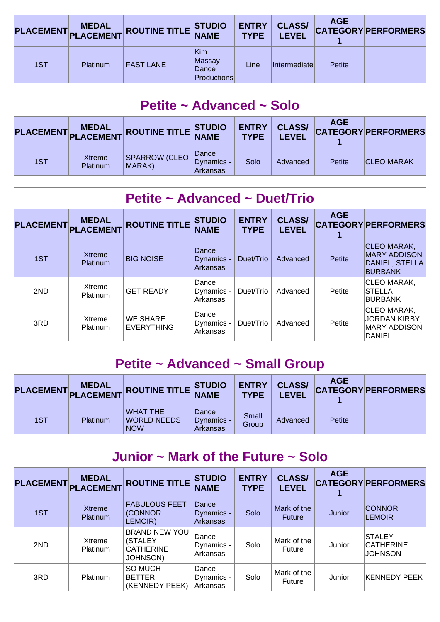|     |          | PLACEMENT MEDAL ROUTINE TITLE STUDIO |                                                     | <b>ENTRY</b><br><b>TYPE</b> | <b>CLASS/</b><br><b>LEVEL</b> | <b>AGE</b> | <b>CATEGORY PERFORMERS</b> |
|-----|----------|--------------------------------------|-----------------------------------------------------|-----------------------------|-------------------------------|------------|----------------------------|
| 1ST | Platinum | <b>FAST LANE</b>                     | <b>Kim</b><br>Massay<br>Dance<br><b>Productions</b> | Line                        | <i>Intermediatel</i>          | Petite     |                            |

| Petite ~ Advanced ~ Solo |                    |                                      |                                        |                             |                               |            |                            |  |  |
|--------------------------|--------------------|--------------------------------------|----------------------------------------|-----------------------------|-------------------------------|------------|----------------------------|--|--|
|                          |                    | PLACEMENT MEDAL ROUTINE TITLE STUDIO |                                        | <b>ENTRY</b><br><b>TYPE</b> | <b>CLASS/</b><br><b>LEVEL</b> | <b>AGE</b> | <b>CATEGORY PERFORMERS</b> |  |  |
| 1ST                      | Xtreme<br>Platinum | <b>SPARROW (CLEO</b><br>MARAK)       | Dance<br>Dynamics -<br><b>Arkansas</b> | Solo                        | Advanced                      | Petite     | <b>CLEO MARAK</b>          |  |  |

| Petite ~ Advanced ~ Duet/Trio |                                  |                                      |                                        |                             |                               |            |                                                                        |  |  |  |
|-------------------------------|----------------------------------|--------------------------------------|----------------------------------------|-----------------------------|-------------------------------|------------|------------------------------------------------------------------------|--|--|--|
| <b>PLACEMENT</b>              | <b>MEDAL</b><br><b>PLACEMENT</b> | <b>ROUTINE TITLE</b>                 | <b>STUDIO</b><br><b>NAME</b>           | <b>ENTRY</b><br><b>TYPE</b> | <b>CLASS/</b><br><b>LEVEL</b> | <b>AGE</b> | <b>CATEGORY PERFORMERS</b>                                             |  |  |  |
| 1ST                           | <b>Xtreme</b><br><b>Platinum</b> | <b>BIG NOISE</b>                     | Dance<br>Dynamics -<br><b>Arkansas</b> | Duet/Trio                   | Advanced                      | Petite     | CLEO MARAK,<br><b>MARY ADDISON</b><br>DANIEL, STELLA<br><b>BURBANK</b> |  |  |  |
| 2ND                           | Xtreme<br><b>Platinum</b>        | <b>GET READY</b>                     | Dance<br>Dynamics -<br>Arkansas        | Duet/Trio                   | Advanced                      | Petite     | CLEO MARAK,<br><b>STELLA</b><br><b>BURBANK</b>                         |  |  |  |
| 3RD                           | <b>Xtreme</b><br><b>Platinum</b> | <b>WE SHARE</b><br><b>EVERYTHING</b> | Dance<br>Dynamics -<br>Arkansas        | Duet/Trio                   | Advanced                      | Petite     | CLEO MARAK,<br>JORDAN KIRBY,<br><b>MARY ADDISON</b><br>DANIEL          |  |  |  |

| <b>Petite ~ Advanced ~ Small Group</b> |          |                                                     |                                 |                             |                               |            |                            |  |  |
|----------------------------------------|----------|-----------------------------------------------------|---------------------------------|-----------------------------|-------------------------------|------------|----------------------------|--|--|
|                                        |          | PLACEMENT MEDAL ROUTINE TITLE STUDIO                |                                 | <b>ENTRY</b><br><b>TYPE</b> | <b>CLASS/</b><br><b>LEVEL</b> | <b>AGE</b> | <b>CATEGORY PERFORMERS</b> |  |  |
| 1ST                                    | Platinum | <b>WHAT THE</b><br><b>WORLD NEEDS</b><br><b>NOW</b> | Dance<br>Dynamics -<br>Arkansas | Small<br>Group              | Advanced                      | Petite     |                            |  |  |

| Junior $\sim$ Mark of the Future $\sim$ Solo |                                  |                                                                        |                                 |                             |                               |            |                                                     |  |  |  |  |
|----------------------------------------------|----------------------------------|------------------------------------------------------------------------|---------------------------------|-----------------------------|-------------------------------|------------|-----------------------------------------------------|--|--|--|--|
| <b>PLACEMENT</b>                             | <b>MEDAL</b><br>PLACEMENT        | <b>ROUTINE TITLE</b>                                                   | <b>STUDIO</b><br><b>NAME</b>    | <b>ENTRY</b><br><b>TYPE</b> | <b>CLASS/</b><br><b>LEVEL</b> | <b>AGE</b> | <b>CATEGORY PERFORMERS</b>                          |  |  |  |  |
| 1ST                                          | <b>Xtreme</b><br><b>Platinum</b> | <b>FABULOUS FEET</b><br>(CONNOR<br>LEMOIR)                             | Dance<br>Dynamics -<br>Arkansas | Solo                        | Mark of the<br><b>Future</b>  | Junior     | <b>CONNOR</b><br><b>LEMOIR</b>                      |  |  |  |  |
| 2ND                                          | Xtreme<br>Platinum               | <b>BRAND NEW YOU</b><br>(STALEY<br><b>CATHERINE</b><br><b>JOHNSON)</b> | Dance<br>Dynamics -<br>Arkansas | Solo                        | Mark of the<br>Future         | Junior     | <b>STALEY</b><br><b>CATHERINE</b><br><b>JOHNSON</b> |  |  |  |  |
| 3RD                                          | Platinum                         | <b>SO MUCH</b><br><b>BETTER</b><br>(KENNEDY PEEK)                      | Dance<br>Dynamics -<br>Arkansas | Solo                        | Mark of the<br>Future         | Junior     | <b>KENNEDY PEEK</b>                                 |  |  |  |  |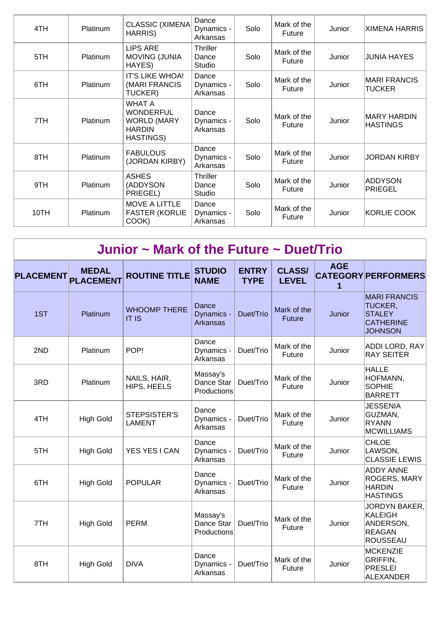| 4TH  | <b>Platinum</b> | <b>CLASSIC (XIMENA</b><br>HARRIS)                                                            | Dance<br>Dynamics -<br>Arkansas    | Solo | Mark of the<br>Future | Junior | <b>XIMENA HARRIS</b>                 |
|------|-----------------|----------------------------------------------------------------------------------------------|------------------------------------|------|-----------------------|--------|--------------------------------------|
| 5TH  | Platinum        | <b>LIPS ARE</b><br><b>MOVING (JUNIA</b><br>HAYES)                                            | <b>Thriller</b><br>Dance<br>Studio | Solo | Mark of the<br>Future | Junior | <b>JUNIA HAYES</b>                   |
| 6TH  | Platinum        | IT'S LIKE WHOA!<br>(MARI FRANCIS<br>TUCKER)                                                  | Dance<br>Dynamics -<br>Arkansas    | Solo | Mark of the<br>Future | Junior | <b>MARI FRANCIS</b><br><b>TUCKER</b> |
| 7TH  | Platinum        | <b>WHAT A</b><br><b>WONDERFUL</b><br><b>WORLD (MARY</b><br><b>HARDIN</b><br><b>HASTINGS)</b> | Dance<br>Dynamics -<br>Arkansas    | Solo | Mark of the<br>Future | Junior | MARY HARDIN<br><b>HASTINGS</b>       |
| 8TH  | Platinum        | <b>FABULOUS</b><br>(JORDAN KIRBY)                                                            | Dance<br>Dynamics -<br>Arkansas    | Solo | Mark of the<br>Future | Junior | <b>JORDAN KIRBY</b>                  |
| 9TH  | Platinum        | <b>ASHES</b><br>(ADDYSON<br>PRIEGEL)                                                         | <b>Thriller</b><br>Dance<br>Studio | Solo | Mark of the<br>Future | Junior | ADDYSON<br>PRIEGEL                   |
| 10TH | Platinum        | <b>MOVE A LITTLE</b><br><b>FASTER (KORLIE</b><br>COOK)                                       | Dance<br>Dynamics -<br>Arkansas    | Solo | Mark of the<br>Future | Junior | KORLIE COOK                          |

|                  | Junior $\sim$ Mark of the Future $\sim$ Duet/Trio |                                      |                                       |                             |                               |                 |                                                                                       |  |  |  |  |  |
|------------------|---------------------------------------------------|--------------------------------------|---------------------------------------|-----------------------------|-------------------------------|-----------------|---------------------------------------------------------------------------------------|--|--|--|--|--|
| <b>PLACEMENT</b> | <b>MEDAL</b><br><b>PLACEMENT</b>                  | <b>ROUTINE TITLE</b>                 | <b>STUDIO</b><br><b>NAME</b>          | <b>ENTRY</b><br><b>TYPE</b> | <b>CLASS/</b><br><b>LEVEL</b> | <b>AGE</b><br>1 | <b>CATEGORY PERFORMERS</b>                                                            |  |  |  |  |  |
| 1ST              | Platinum                                          | <b>WHOOMP THERE</b><br><b>IT IS</b>  | Dance<br>Dynamics -<br>Arkansas       | Duet/Trio                   | Mark of the<br><b>Future</b>  | Junior          | <b>MARI FRANCIS</b><br>TUCKER,<br><b>STALEY</b><br><b>CATHERINE</b><br><b>JOHNSON</b> |  |  |  |  |  |
| 2ND              | Platinum                                          | POP!                                 | Dance<br>Dynamics -<br>Arkansas       | Duet/Trio                   | Mark of the<br>Future         | Junior          | <b>ADDI LORD, RAY</b><br><b>RAY SEITER</b>                                            |  |  |  |  |  |
| 3RD              | Platinum                                          | NAILS, HAIR,<br>HIPS, HEELS          | Massay's<br>Dance Star<br>Productions | Duet/Trio                   | Mark of the<br>Future         | Junior          | <b>HALLE</b><br>HOFMANN,<br><b>SOPHIE</b><br><b>BARRETT</b>                           |  |  |  |  |  |
| 4TH              | <b>High Gold</b>                                  | <b>STEPSISTER'S</b><br><b>LAMENT</b> | Dance<br>Dynamics -<br>Arkansas       | Duet/Trio                   | Mark of the<br>Future         | Junior          | <b>JESSENIA</b><br>GUZMAN,<br>RYANN<br><b>MCWILLIAMS</b>                              |  |  |  |  |  |
| 5TH              | <b>High Gold</b>                                  | YES YES I CAN                        | Dance<br>Dynamics -<br>Arkansas       | Duet/Trio                   | Mark of the<br>Future         | Junior          | <b>CHLOE</b><br>LAWSON,<br><b>CLASSIE LEWIS</b>                                       |  |  |  |  |  |
| 6TH              | <b>High Gold</b>                                  | <b>POPULAR</b>                       | Dance<br>Dynamics -<br>Arkansas       | Duet/Trio                   | Mark of the<br>Future         | Junior          | <b>ADDY ANNE</b><br><b>ROGERS, MARY</b><br><b>HARDIN</b><br><b>HASTINGS</b>           |  |  |  |  |  |
| 7TH              | <b>High Gold</b>                                  | <b>PERM</b>                          | Massay's<br>Dance Star<br>Productions | Duet/Trio                   | Mark of the<br>Future         | Junior          | JORDYN BAKER,<br>KALEIGH<br>ANDERSON,<br>REAGAN<br>ROUSSEAU                           |  |  |  |  |  |
| 8TH              | <b>High Gold</b>                                  | <b>DIVA</b>                          | Dance<br>Dynamics -<br>Arkansas       | Duet/Trio                   | Mark of the<br>Future         | Junior          | MCKENZIE<br>GRIFFIN,<br><b>PRESLEI</b><br><b>ALEXANDER</b>                            |  |  |  |  |  |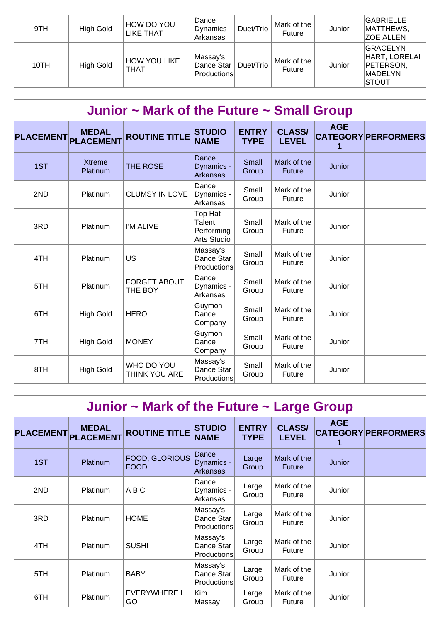| 9TH  | <b>High Gold</b> | HOW DO YOU<br>LIKE THAT     | Dance<br>Dynamics -<br>Arkansas              | Duet/Trio | Mark of the<br><b>Future</b> | Junior | <b>GABRIELLE</b><br>MATTHEWS,<br><b>ZOE ALLEN</b>                                |
|------|------------------|-----------------------------|----------------------------------------------|-----------|------------------------------|--------|----------------------------------------------------------------------------------|
| 10TH | <b>High Gold</b> | <b>HOW YOU LIKE</b><br>THAT | Massay's<br>Dance Star<br><b>Productions</b> | Duet/Trio | Mark of the<br>Future        | Junior | <b>GRACELYN</b><br>HART, LORELAI<br>PETERSON,<br><b>MADELYN</b><br><b>ISTOUT</b> |

| Junior ~ Mark of the Future ~ Small Group |                                  |                                |                                                |                             |                               |            |                            |  |  |  |
|-------------------------------------------|----------------------------------|--------------------------------|------------------------------------------------|-----------------------------|-------------------------------|------------|----------------------------|--|--|--|
| <b>PLACEMENT</b>                          | <b>MEDAL</b><br><b>PLACEMENT</b> | <b>ROUTINE TITLE</b>           | <b>STUDIO</b><br><b>NAME</b>                   | <b>ENTRY</b><br><b>TYPE</b> | <b>CLASS/</b><br><b>LEVEL</b> | <b>AGE</b> | <b>CATEGORY PERFORMERS</b> |  |  |  |
| 1ST                                       | <b>Xtreme</b><br>Platinum        | THE ROSE                       | Dance<br>Dynamics -<br>Arkansas                | Small<br>Group              | Mark of the<br><b>Future</b>  | Junior     |                            |  |  |  |
| 2ND                                       | Platinum                         | <b>CLUMSY IN LOVE</b>          | Dance<br>Dynamics -<br>Arkansas                | Small<br>Group              | Mark of the<br>Future         | Junior     |                            |  |  |  |
| 3RD                                       | Platinum                         | I'M ALIVE                      | Top Hat<br>Talent<br>Performing<br>Arts Studio | Small<br>Group              | Mark of the<br><b>Future</b>  | Junior     |                            |  |  |  |
| 4TH                                       | Platinum                         | <b>US</b>                      | Massay's<br>Dance Star<br>Productions          | Small<br>Group              | Mark of the<br>Future         | Junior     |                            |  |  |  |
| 5TH                                       | Platinum                         | <b>FORGET ABOUT</b><br>THE BOY | Dance<br>Dynamics -<br>Arkansas                | Small<br>Group              | Mark of the<br><b>Future</b>  | Junior     |                            |  |  |  |
| 6TH                                       | <b>High Gold</b>                 | <b>HERO</b>                    | Guymon<br>Dance<br>Company                     | Small<br>Group              | Mark of the<br>Future         | Junior     |                            |  |  |  |
| 7TH                                       | <b>High Gold</b>                 | <b>MONEY</b>                   | Guymon<br>Dance<br>Company                     | Small<br>Group              | Mark of the<br>Future         | Junior     |                            |  |  |  |
| 8TH                                       | <b>High Gold</b>                 | WHO DO YOU<br>THINK YOU ARE    | Massay's<br>Dance Star<br>Productions          | Small<br>Group              | Mark of the<br>Future         | Junior     |                            |  |  |  |

| Junior $\sim$ Mark of the Future $\sim$ Large Group |                                  |                               |                                       |                             |                               |            |                            |  |  |  |
|-----------------------------------------------------|----------------------------------|-------------------------------|---------------------------------------|-----------------------------|-------------------------------|------------|----------------------------|--|--|--|
| <b>PLACEMENT</b>                                    | <b>MEDAL</b><br><b>PLACEMENT</b> | <b>ROUTINE TITLE</b>          | <b>STUDIO</b><br><b>NAME</b>          | <b>ENTRY</b><br><b>TYPE</b> | <b>CLASS/</b><br><b>LEVEL</b> | <b>AGE</b> | <b>CATEGORY PERFORMERS</b> |  |  |  |
| 1ST                                                 | Platinum                         | FOOD, GLORIOUS<br><b>FOOD</b> | Dance<br>Dynamics -<br>Arkansas       | Large<br>Group              | Mark of the<br><b>Future</b>  | Junior     |                            |  |  |  |
| 2ND                                                 | Platinum                         | ABC                           | Dance<br>Dynamics -<br>Arkansas       | Large<br>Group              | Mark of the<br>Future         | Junior     |                            |  |  |  |
| 3RD                                                 | <b>Platinum</b>                  | <b>HOME</b>                   | Massay's<br>Dance Star<br>Productions | Large<br>Group              | Mark of the<br><b>Future</b>  | Junior     |                            |  |  |  |
| 4TH                                                 | Platinum                         | <b>SUSHI</b>                  | Massay's<br>Dance Star<br>Productions | Large<br>Group              | Mark of the<br>Future         | Junior     |                            |  |  |  |
| 5TH                                                 | Platinum                         | <b>BABY</b>                   | Massay's<br>Dance Star<br>Productions | Large<br>Group              | Mark of the<br><b>Future</b>  | Junior     |                            |  |  |  |
| 6TH                                                 | Platinum                         | <b>EVERYWHERE I</b><br>GO     | <b>Kim</b><br>Massay                  | Large<br>Group              | Mark of the<br>Future         | Junior     |                            |  |  |  |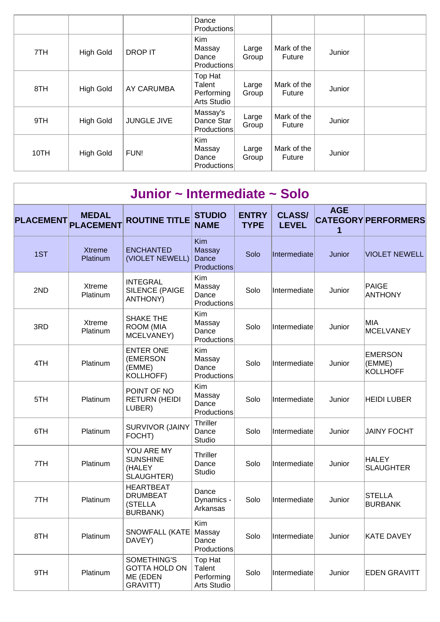|      |                  |                    | Dance<br><b>Productions</b>                         |                |                       |        |  |
|------|------------------|--------------------|-----------------------------------------------------|----------------|-----------------------|--------|--|
| 7TH  | <b>High Gold</b> | <b>DROP IT</b>     | Kim<br>Massay<br>Dance<br><b>Productions</b>        | Large<br>Group | Mark of the<br>Future | Junior |  |
| 8TH  | <b>High Gold</b> | AY CARUMBA         | Top Hat<br>Talent<br>Performing<br>Arts Studio      | Large<br>Group | Mark of the<br>Future | Junior |  |
| 9TH  | <b>High Gold</b> | <b>JUNGLE JIVE</b> | Massay's<br>Dance Star<br><b>Productions</b>        | Large<br>Group | Mark of the<br>Future | Junior |  |
| 10TH | <b>High Gold</b> | FUN!               | <b>Kim</b><br>Massay<br>Dance<br><b>Productions</b> | Large<br>Group | Mark of the<br>Future | Junior |  |

|                  | Junior ~ Intermediate ~ Solo     |                                                                   |                                                |                             |                               |                 |                                             |  |  |  |  |
|------------------|----------------------------------|-------------------------------------------------------------------|------------------------------------------------|-----------------------------|-------------------------------|-----------------|---------------------------------------------|--|--|--|--|
| <b>PLACEMENT</b> | <b>MEDAL</b><br><b>PLACEMENT</b> | <b>ROUTINE TITLE</b>                                              | <b>STUDIO</b><br><b>NAME</b>                   | <b>ENTRY</b><br><b>TYPE</b> | <b>CLASS/</b><br><b>LEVEL</b> | <b>AGE</b><br>1 | <b>CATEGORY PERFORMERS</b>                  |  |  |  |  |
| 1ST              | <b>Xtreme</b><br>Platinum        | <b>ENCHANTED</b><br>(VIOLET NEWELL)                               | Kim<br><b>Massay</b><br>Dance<br>Productions   | Solo                        | Intermediate                  | Junior          | <b>VIOLET NEWELL</b>                        |  |  |  |  |
| 2ND              | Xtreme<br>Platinum               | <b>INTEGRAL</b><br>SILENCE (PAIGE<br><b>ANTHONY)</b>              | Kim<br>Massay<br>Dance<br>Productions          | Solo                        | Intermediate                  | Junior          | PAIGE<br><b>ANTHONY</b>                     |  |  |  |  |
| 3RD              | Xtreme<br>Platinum               | <b>SHAKE THE</b><br><b>ROOM (MIA</b><br>MCELVANEY)                | <b>Kim</b><br>Massay<br>Dance<br>Productions   | Solo                        | Intermediate                  | Junior          | MIA<br><b>MCELVANEY</b>                     |  |  |  |  |
| 4TH              | Platinum                         | <b>ENTER ONE</b><br>(EMERSON<br>(EMME)<br><b>KOLLHOFF)</b>        | <b>Kim</b><br>Massay<br>Dance<br>Productions   | Solo                        | Intermediate                  | Junior          | <b>EMERSON</b><br>(EMME)<br><b>KOLLHOFF</b> |  |  |  |  |
| 5TH              | Platinum                         | POINT OF NO<br><b>RETURN (HEIDI</b><br>LUBER)                     | Kim<br>Massay<br>Dance<br>Productions          | Solo                        | Intermediate                  | Junior          | <b>HEIDI LUBER</b>                          |  |  |  |  |
| 6TH              | Platinum                         | <b>SURVIVOR (JAINY</b><br>FOCHT)                                  | Thriller<br>Dance<br>Studio                    | Solo                        | Intermediate                  | Junior          | <b>JAINY FOCHT</b>                          |  |  |  |  |
| 7TH              | Platinum                         | YOU ARE MY<br><b>SUNSHINE</b><br>(HALEY<br>SLAUGHTER)             | Thriller<br>Dance<br>Studio                    | Solo                        | Intermediate                  | Junior          | <b>HALEY</b><br><b>SLAUGHTER</b>            |  |  |  |  |
| 7TH              | Platinum                         | <b>HEARTBEAT</b><br><b>DRUMBEAT</b><br>(STELLA<br><b>BURBANK)</b> | Dance<br>Dynamics -<br>Arkansas                | Solo                        | Intermediate                  | Junior          | <b>STELLA</b><br><b>BURBANK</b>             |  |  |  |  |
| 8TH              | Platinum                         | <b>SNOWFALL (KATE</b><br>DAVEY)                                   | Kim<br>Massay<br>Dance<br>Productions          | Solo                        | Intermediate                  | Junior          | <b>KATE DAVEY</b>                           |  |  |  |  |
| 9TH              | Platinum                         | SOMETHING'S<br><b>GOTTA HOLD ON</b><br>ME (EDEN<br>GRAVITT)       | Top Hat<br>Talent<br>Performing<br>Arts Studio | Solo                        | Intermediate                  | Junior          | <b>EDEN GRAVITT</b>                         |  |  |  |  |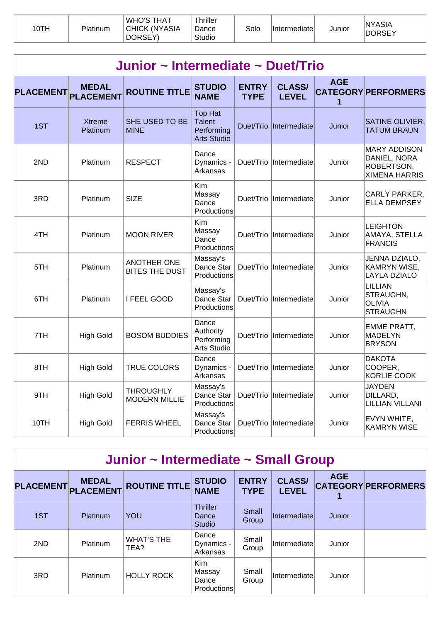| 10TH | Platinum | , WHO'S THAT<br>CHICK (NYASIA<br>DORSEY) | Thriller<br>Dance<br>Studio | Solo | Intermediate | Junior | <b>NYASIA</b><br><b>DORSEY</b> |
|------|----------|------------------------------------------|-----------------------------|------|--------------|--------|--------------------------------|
|------|----------|------------------------------------------|-----------------------------|------|--------------|--------|--------------------------------|

| Junior ~ Intermediate ~ Duet/Trio |                                  |                                             |                                                                     |                             |                               |            |                                                                           |  |  |  |
|-----------------------------------|----------------------------------|---------------------------------------------|---------------------------------------------------------------------|-----------------------------|-------------------------------|------------|---------------------------------------------------------------------------|--|--|--|
| <b>PLACEMENT</b>                  | <b>MEDAL</b><br><b>PLACEMENT</b> | <b>ROUTINE TITLE</b>                        | <b>STUDIO</b><br><b>NAME</b>                                        | <b>ENTRY</b><br><b>TYPE</b> | <b>CLASS/</b><br><b>LEVEL</b> | <b>AGE</b> | <b>CATEGORY PERFORMERS</b>                                                |  |  |  |
| 1ST                               | <b>Xtreme</b><br>Platinum        | SHE USED TO BE<br><b>MINE</b>               | <b>Top Hat</b><br><b>Talent</b><br>Performing<br><b>Arts Studio</b> | Duet/Trio                   | Intermediate                  | Junior     | SATINE OLIVIER,<br><b>TATUM BRAUN</b>                                     |  |  |  |
| 2ND                               | Platinum                         | <b>RESPECT</b>                              | Dance<br>Dynamics -<br>Arkansas                                     | Duet/Trio                   | Intermediate                  | Junior     | <b>MARY ADDISON</b><br>DANIEL, NORA<br>ROBERTSON,<br><b>XIMENA HARRIS</b> |  |  |  |
| 3RD                               | Platinum                         | <b>SIZE</b>                                 | Kim<br>Massay<br>Dance<br>Productions                               | Duet/Trio                   | Intermediate                  | Junior     | CARLY PARKER,<br><b>ELLA DEMPSEY</b>                                      |  |  |  |
| 4TH                               | Platinum                         | <b>MOON RIVER</b>                           | Kim<br>Massay<br>Dance<br>Productions                               | Duet/Trio                   | Intermediate                  | Junior     | <b>LEIGHTON</b><br>AMAYA, STELLA<br><b>FRANCIS</b>                        |  |  |  |
| 5TH                               | Platinum                         | <b>ANOTHER ONE</b><br><b>BITES THE DUST</b> | Massay's<br>Dance Star<br>Productions                               | Duet/Trio                   | Intermediate                  | Junior     | JENNA DZIALO,<br><b>KAMRYN WISE,</b><br>LAYLA DZIALO                      |  |  |  |
| 6TH                               | Platinum                         | I FEEL GOOD                                 | Massay's<br>Dance Star<br>Productions                               | Duet/Trio                   | Intermediate                  | Junior     | <b>LILLIAN</b><br>STRAUGHN,<br><b>OLIVIA</b><br><b>STRAUGHN</b>           |  |  |  |
| 7TH                               | <b>High Gold</b>                 | <b>BOSOM BUDDIES</b>                        | Dance<br>Authority<br>Performing<br>Arts Studio                     | Duet/Trio                   | Intermediate                  | Junior     | EMME PRATT,<br>MADELYN<br><b>BRYSON</b>                                   |  |  |  |
| 8TH                               | <b>High Gold</b>                 | <b>TRUE COLORS</b>                          | Dance<br>Dynamics -<br>Arkansas                                     | Duet/Trio                   | Intermediate                  | Junior     | <b>DAKOTA</b><br>COOPER,<br><b>KORLIE COOK</b>                            |  |  |  |
| 9TH                               | <b>High Gold</b>                 | <b>THROUGHLY</b><br><b>MODERN MILLIE</b>    | Massay's<br>Dance Star<br>Productions                               | Duet/Trio                   | <i>Intermediate</i>           | Junior     | <b>JAYDEN</b><br>DILLARD,<br><b>LILLIAN VILLANI</b>                       |  |  |  |
| 10TH                              | <b>High Gold</b>                 | <b>FERRIS WHEEL</b>                         | Massay's<br>Dance Star<br>Productions                               | Duet/Trio                   | Intermediate                  | Junior     | EVYN WHITE,<br><b>KAMRYN WISE</b>                                         |  |  |  |

| Junior ~ Intermediate ~ Small Group |  |
|-------------------------------------|--|
|-------------------------------------|--|

| <b>PLACEMENT</b> | <b>MEDAL</b><br><b>PLACEMENT</b> | <b>ROUTINE TITLE</b>      | <b>STUDIO</b><br><b>NAME</b>                 | <b>ENTRY</b><br><b>TYPE</b> | <b>CLASS/</b><br><b>LEVEL</b> | <b>AGE</b> | <b>CATEGORY PERFORMERS</b> |
|------------------|----------------------------------|---------------------------|----------------------------------------------|-----------------------------|-------------------------------|------------|----------------------------|
| 1ST              | Platinum                         | YOU                       | <b>Thriller</b><br>Dance<br><b>Studio</b>    | Small<br>Group              | Intermediate                  | Junior     |                            |
| 2ND              | Platinum                         | <b>WHAT'S THE</b><br>TEA? | Dance<br>Dynamics -<br>Arkansas              | Small<br>Group              | Intermediate                  | Junior     |                            |
| 3RD              | Platinum                         | <b>HOLLY ROCK</b>         | <b>Kim</b><br>Massay<br>Dance<br>Productions | Small<br>Group              | Intermediate                  | Junior     |                            |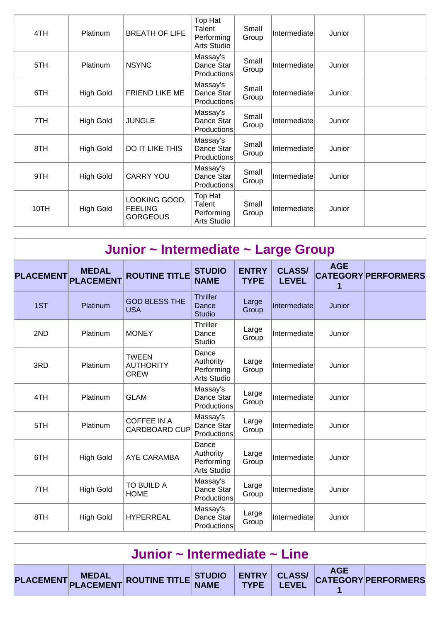| 4TH  | Platinum         | <b>BREATH OF LIFE</b>                              | Top Hat<br>Talent<br>Performing<br>Arts Studio | Small<br>Group | Intermediate | Junior |  |
|------|------------------|----------------------------------------------------|------------------------------------------------|----------------|--------------|--------|--|
| 5TH  | Platinum         | <b>NSYNC</b>                                       | Massay's<br>Dance Star<br>Productions          | Small<br>Group | Intermediate | Junior |  |
| 6TH  | High Gold        | <b>FRIEND LIKE ME</b>                              | Massay's<br>Dance Star<br>Productions          | Small<br>Group | Intermediate | Junior |  |
| 7TH  | <b>High Gold</b> | <b>JUNGLE</b>                                      | Massay's<br>Dance Star<br>Productions          | Small<br>Group | Intermediate | Junior |  |
| 8TH  | <b>High Gold</b> | DO IT LIKE THIS                                    | Massay's<br>Dance Star<br>Productions          | Small<br>Group | Intermediate | Junior |  |
| 9TH  | <b>High Gold</b> | <b>CARRY YOU</b>                                   | Massay's<br>Dance Star<br>Productions          | Small<br>Group | Intermediate | Junior |  |
| 10TH | <b>High Gold</b> | LOOKING GOOD,<br><b>FEELING</b><br><b>GORGEOUS</b> | Top Hat<br>Talent<br>Performing<br>Arts Studio | Small<br>Group | Intermediate | Junior |  |

|                  |                                  | Junior ~ Intermediate ~ Large Group             |                                                        |                             |                               |            |                            |
|------------------|----------------------------------|-------------------------------------------------|--------------------------------------------------------|-----------------------------|-------------------------------|------------|----------------------------|
| <b>PLACEMENT</b> | <b>MEDAL</b><br><b>PLACEMENT</b> | <b>ROUTINE TITLE</b>                            | <b>STUDIO</b><br><b>NAME</b>                           | <b>ENTRY</b><br><b>TYPE</b> | <b>CLASS/</b><br><b>LEVEL</b> | <b>AGE</b> | <b>CATEGORY PERFORMERS</b> |
| 1ST              | Platinum                         | <b>GOD BLESS THE</b><br><b>USA</b>              | <b>Thriller</b><br>Dance<br><b>Studio</b>              | Large<br>Group              | Intermediate                  | Junior     |                            |
| 2ND              | Platinum                         | <b>MONEY</b>                                    | <b>Thriller</b><br>Dance<br><b>Studio</b>              | Large<br>Group              | Intermediate                  | Junior     |                            |
| 3RD              | Platinum                         | <b>TWEEN</b><br><b>AUTHORITY</b><br><b>CREW</b> | Dance<br>Authority<br>Performing<br><b>Arts Studio</b> | Large<br>Group              | Intermediate                  | Junior     |                            |
| 4TH              | Platinum                         | <b>GLAM</b>                                     | Massay's<br>Dance Star<br>Productions                  | Large<br>Group              | Intermediate                  | Junior     |                            |
| 5TH              | Platinum                         | <b>COFFEE IN A</b><br><b>CARDBOARD CUP</b>      | Massay's<br>Dance Star<br>Productions                  | Large<br>Group              | Intermediate                  | Junior     |                            |
| 6TH              | <b>High Gold</b>                 | AYE CARAMBA                                     | Dance<br>Authority<br>Performing<br>Arts Studio        | Large<br>Group              | Intermediate                  | Junior     |                            |
| 7TH              | <b>High Gold</b>                 | TO BUILD A<br><b>HOME</b>                       | Massay's<br>Dance Star<br>Productions                  | Large<br>Group              | Intermediate                  | Junior     |                            |
| 8TH              | <b>High Gold</b>                 | <b>HYPERREAL</b>                                | Massay's<br>Dance Star<br>Productions                  | Large<br>Group              | Intermediate                  | Junior     |                            |

| Junior ~ Intermediate ~ Line |  |                                                                                                  |  |  |  |  |  |  |
|------------------------------|--|--------------------------------------------------------------------------------------------------|--|--|--|--|--|--|
|                              |  | PLACEMENT MEDAL ROUTINE TITLE STUDIO ENTRY CLASS/ AGE AGE PLACEMENT PLACEMENT ROUTINE TITLE NAME |  |  |  |  |  |  |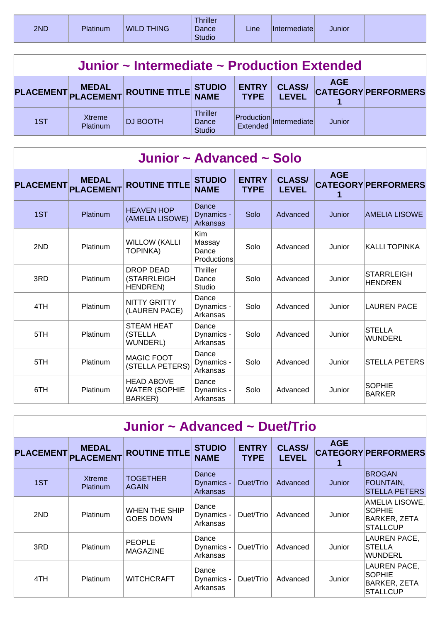| 2ND<br><b>WILD</b><br><b>THING</b><br><b>Platinum</b> | <b>Thriller</b><br>Dance<br><b>Studio</b> | Line | Intermediate | Junior |  |
|-------------------------------------------------------|-------------------------------------------|------|--------------|--------|--|
|-------------------------------------------------------|-------------------------------------------|------|--------------|--------|--|

|     | Junior ~ Intermediate ~ Production Extended |                                      |                                           |                             |                               |            |                            |  |  |  |
|-----|---------------------------------------------|--------------------------------------|-------------------------------------------|-----------------------------|-------------------------------|------------|----------------------------|--|--|--|
|     |                                             | PLACEMENT MEDAL ROUTINE TITLE STUDIO |                                           | <b>ENTRY</b><br><b>TYPE</b> | <b>CLASS/</b><br><b>LEVEL</b> | <b>AGE</b> | <b>CATEGORY PERFORMERS</b> |  |  |  |
| 1ST | Xtreme<br>Platinum                          | <b>DJ BOOTH</b>                      | <b>Thriller</b><br>Dance<br><b>Studio</b> | Extended                    | Production Intermediate       | Junior     |                            |  |  |  |

| Junior ~ Advanced ~ Solo |                                  |                                                             |                                                     |                             |                               |            |                                     |  |  |  |
|--------------------------|----------------------------------|-------------------------------------------------------------|-----------------------------------------------------|-----------------------------|-------------------------------|------------|-------------------------------------|--|--|--|
| <b>PLACEMENT</b>         | <b>MEDAL</b><br><b>PLACEMENT</b> | <b>ROUTINE TITLE</b>                                        | <b>STUDIO</b><br><b>NAME</b>                        | <b>ENTRY</b><br><b>TYPE</b> | <b>CLASS/</b><br><b>LEVEL</b> | <b>AGE</b> | <b>CATEGORY PERFORMERS</b>          |  |  |  |
| 1ST                      | Platinum                         | <b>HEAVEN HOP</b><br>(AMELIA LISOWE)                        | Dance<br>Dynamics -<br>Arkansas                     | Solo                        | Advanced                      | Junior     | AMELIA LISOWE                       |  |  |  |
| 2ND                      | Platinum                         | <b>WILLOW (KALLI</b><br><b>TOPINKA)</b>                     | <b>Kim</b><br>Massay<br>Dance<br><b>Productions</b> | Solo                        | Advanced                      | Junior     | KALLI TOPINKA                       |  |  |  |
| 3RD                      | Platinum                         | <b>DROP DEAD</b><br>(STARRLEIGH<br>HENDREN)                 | Thriller<br>Dance<br>Studio                         | Solo                        | Advanced                      | Junior     | <b>STARRLEIGH</b><br><b>HENDREN</b> |  |  |  |
| 4TH                      | Platinum                         | <b>NITTY GRITTY</b><br>(LAUREN PACE)                        | Dance<br>Dynamics -<br>Arkansas                     | Solo                        | Advanced                      | Junior     | <b>LAUREN PACE</b>                  |  |  |  |
| 5TH                      | <b>Platinum</b>                  | <b>STEAM HEAT</b><br>(STELLA<br>WUNDERL)                    | Dance<br>Dynamics -<br>Arkansas                     | Solo                        | Advanced                      | Junior     | <b>STELLA</b><br>WUNDERL            |  |  |  |
| 5TH                      | Platinum                         | <b>MAGIC FOOT</b><br>(STELLA PETERS)                        | Dance<br>Dynamics -<br>Arkansas                     | Solo                        | Advanced                      | Junior     | <b>STELLA PETERS</b>                |  |  |  |
| 6TH                      | Platinum                         | <b>HEAD ABOVE</b><br><b>WATER (SOPHIE</b><br><b>BARKER)</b> | Dance<br>Dynamics -<br>Arkansas                     | Solo                        | Advanced                      | Junior     | <b>SOPHIE</b><br>BARKER             |  |  |  |

|                  | Junior ~ Advanced ~ Duet/Trio    |                                   |                                 |                             |                               |               |                                                                                |  |  |  |  |
|------------------|----------------------------------|-----------------------------------|---------------------------------|-----------------------------|-------------------------------|---------------|--------------------------------------------------------------------------------|--|--|--|--|
| <b>PLACEMENT</b> | <b>MEDAL</b><br><b>PLACEMENT</b> | <b>ROUTINE TITLE</b>              | <b>STUDIO</b><br><b>NAME</b>    | <b>ENTRY</b><br><b>TYPE</b> | <b>CLASS/</b><br><b>LEVEL</b> | <b>AGE</b>    | <b>CATEGORY PERFORMERS</b>                                                     |  |  |  |  |
| 1ST              | <b>Xtreme</b><br><b>Platinum</b> | <b>TOGETHER</b><br><b>AGAIN</b>   | Dance<br>Dynamics -<br>Arkansas | Duet/Trio                   | Advanced                      | <b>Junior</b> | <b>BROGAN</b><br>FOUNTAIN,<br><b>STELLA PETERS</b>                             |  |  |  |  |
| 2ND              | <b>Platinum</b>                  | WHEN THE SHIP<br><b>GOES DOWN</b> | Dance<br>Dynamics -<br>Arkansas | Duet/Trio                   | Advanced                      | Junior        | AMELIA LISOWE,<br><b>SOPHIE</b><br><b>BARKER, ZETA</b><br><b>STALLCUP</b>      |  |  |  |  |
| 3RD              | <b>Platinum</b>                  | <b>PEOPLE</b><br><b>MAGAZINE</b>  | Dance<br>Dynamics -<br>Arkansas | Duet/Trio                   | Advanced                      | Junior        | LAUREN PACE,<br><b>STELLA</b><br><b>WUNDERL</b>                                |  |  |  |  |
| 4TH              | <b>Platinum</b>                  | <b>WITCHCRAFT</b>                 | Dance<br>Dynamics -<br>Arkansas | Duet/Trio                   | Advanced                      | Junior        | <b>LAUREN PACE,</b><br><b>SOPHIE</b><br><b>BARKER, ZETA</b><br><b>STALLCUP</b> |  |  |  |  |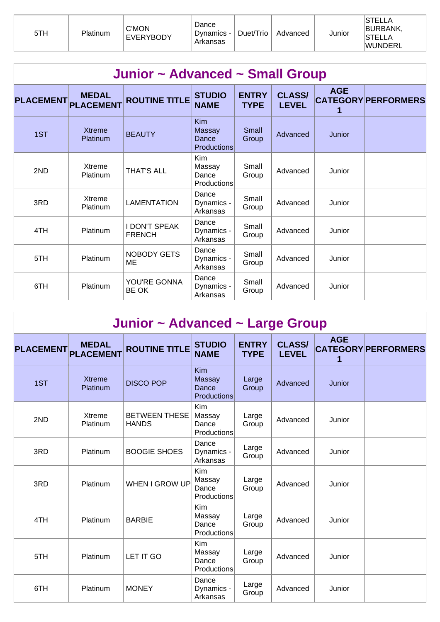| 5TH | Platinum | <b>C'MON</b><br><b>EVERYBODY</b> | Dance<br>Dynamics -<br>Arkansas | Duet/Trio | Advanced | Junior | <b>STELLA</b><br>BURBANK,<br>ISTELLA<br><b>WUNDERL</b> |
|-----|----------|----------------------------------|---------------------------------|-----------|----------|--------|--------------------------------------------------------|
|-----|----------|----------------------------------|---------------------------------|-----------|----------|--------|--------------------------------------------------------|

|                  | Junior ~ Advanced ~ Small Group  |                                       |                                                     |                             |                               |            |                            |  |  |  |  |
|------------------|----------------------------------|---------------------------------------|-----------------------------------------------------|-----------------------------|-------------------------------|------------|----------------------------|--|--|--|--|
| <b>PLACEMENT</b> | <b>MEDAL</b><br><b>PLACEMENT</b> | <b>ROUTINE TITLE</b>                  | <b>STUDIO</b><br><b>NAME</b>                        | <b>ENTRY</b><br><b>TYPE</b> | <b>CLASS/</b><br><b>LEVEL</b> | <b>AGE</b> | <b>CATEGORY PERFORMERS</b> |  |  |  |  |
| 1ST              | <b>Xtreme</b><br>Platinum        | <b>BEAUTY</b>                         | <b>Kim</b><br>Massay<br>Dance<br><b>Productions</b> | Small<br>Group              | Advanced                      | Junior     |                            |  |  |  |  |
| 2ND              | Xtreme<br>Platinum               | <b>THAT'S ALL</b>                     | Kim<br>Massay<br>Dance<br><b>Productions</b>        | Small<br>Group              | Advanced                      | Junior     |                            |  |  |  |  |
| 3RD              | Xtreme<br>Platinum               | <b>LAMENTATION</b>                    | Dance<br>Dynamics -<br>Arkansas                     | Small<br>Group              | Advanced                      | Junior     |                            |  |  |  |  |
| 4TH              | Platinum                         | <b>I DON'T SPEAK</b><br><b>FRENCH</b> | Dance<br>Dynamics -<br>Arkansas                     | Small<br>Group              | Advanced                      | Junior     |                            |  |  |  |  |
| 5TH              | Platinum                         | <b>NOBODY GETS</b><br>MЕ              | Dance<br>Dynamics -<br>Arkansas                     | Small<br>Group              | Advanced                      | Junior     |                            |  |  |  |  |
| 6TH              | Platinum                         | YOU'RE GONNA<br>BE OK                 | Dance<br>Dynamics -<br>Arkansas                     | Small<br>Group              | Advanced                      | Junior     |                            |  |  |  |  |

|                  |                                  |                                      | Junior ~ Advanced ~ Large Group       |                             |                               |                 |                            |  |  |  |  |  |  |
|------------------|----------------------------------|--------------------------------------|---------------------------------------|-----------------------------|-------------------------------|-----------------|----------------------------|--|--|--|--|--|--|
| <b>PLACEMENT</b> | <b>MEDAL</b><br><b>PLACEMENT</b> | <b>ROUTINE TITLE</b>                 | <b>STUDIO</b><br><b>NAME</b>          | <b>ENTRY</b><br><b>TYPE</b> | <b>CLASS/</b><br><b>LEVEL</b> | <b>AGE</b><br>1 | <b>CATEGORY PERFORMERS</b> |  |  |  |  |  |  |
| 1ST              | <b>Xtreme</b><br>Platinum        | <b>DISCO POP</b>                     | Kim<br>Massay<br>Dance<br>Productions | Large<br>Group              | Advanced                      | Junior          |                            |  |  |  |  |  |  |
| 2ND              | Xtreme<br><b>Platinum</b>        | <b>BETWEEN THESE</b><br><b>HANDS</b> | Kim<br>Massay<br>Dance<br>Productions | Large<br>Group              | Advanced                      | Junior          |                            |  |  |  |  |  |  |
| 3RD              | Platinum                         | <b>BOOGIE SHOES</b>                  | Dance<br>Dynamics -<br>Arkansas       | Large<br>Group              | Advanced                      | Junior          |                            |  |  |  |  |  |  |
| 3RD              | Platinum                         | <b>WHEN I GROW UP</b>                | Kim<br>Massay<br>Dance<br>Productions | Large<br>Group              | Advanced                      | Junior          |                            |  |  |  |  |  |  |
| 4TH              | <b>Platinum</b>                  | <b>BARBIE</b>                        | Kim<br>Massay<br>Dance<br>Productions | Large<br>Group              | Advanced                      | Junior          |                            |  |  |  |  |  |  |
| 5TH              | Platinum                         | LET IT GO                            | Kim<br>Massay<br>Dance<br>Productions | Large<br>Group              | Advanced                      | Junior          |                            |  |  |  |  |  |  |
| 6TH              | Platinum                         | <b>MONEY</b>                         | Dance<br>Dynamics -<br>Arkansas       | Large<br>Group              | Advanced                      | Junior          |                            |  |  |  |  |  |  |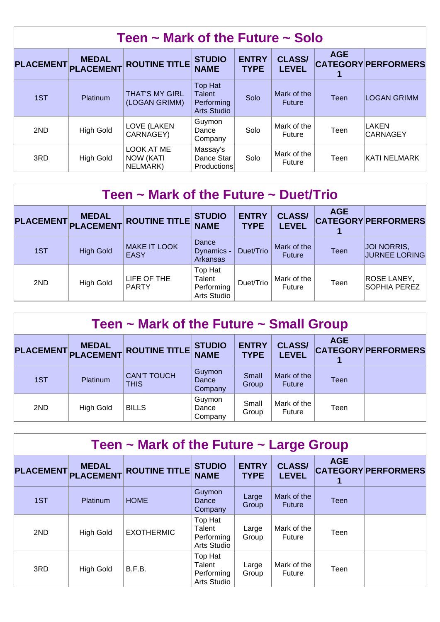|                  | Teen $\sim$ Mark of the Future $\sim$ Solo |                                            |                                                                     |                             |                               |            |                            |  |  |  |  |
|------------------|--------------------------------------------|--------------------------------------------|---------------------------------------------------------------------|-----------------------------|-------------------------------|------------|----------------------------|--|--|--|--|
| <b>PLACEMENT</b> | <b>MEDAL</b><br><b>PLACEMENT</b>           | <b>ROUTINE TITLE</b>                       | <b>STUDIO</b><br><b>NAME</b>                                        | <b>ENTRY</b><br><b>TYPE</b> | <b>CLASS/</b><br><b>LEVEL</b> | <b>AGE</b> | <b>CATEGORY PERFORMERS</b> |  |  |  |  |
| 1ST              | Platinum                                   | <b>THAT'S MY GIRL</b><br>(LOGAN GRIMM)     | <b>Top Hat</b><br><b>Talent</b><br>Performing<br><b>Arts Studio</b> | Solo                        | Mark of the<br><b>Future</b>  | Teen       | <b>LOGAN GRIMM</b>         |  |  |  |  |
| 2ND              | <b>High Gold</b>                           | LOVE (LAKEN<br>CARNAGEY)                   | Guymon<br>Dance<br>Company                                          | Solo                        | Mark of the<br>Future         | Teen       | LAKEN<br><b>CARNAGEY</b>   |  |  |  |  |
| 3RD              | <b>High Gold</b>                           | LOOK AT ME<br><b>NOW (KATI</b><br>NELMARK) | Massay's<br>Dance Star<br><b>Productions</b>                        | Solo                        | Mark of the<br><b>Future</b>  | Teen       | KATI NELMARK               |  |  |  |  |

| Teen $\sim$ Mark of the Future $\sim$ Duet/Trio |                           |                                    |                                                |                             |                               |            |                                           |  |  |  |
|-------------------------------------------------|---------------------------|------------------------------------|------------------------------------------------|-----------------------------|-------------------------------|------------|-------------------------------------------|--|--|--|
| <b>PLACEMENT</b>                                | <b>MEDAL</b><br>PLACEMENT | <b>ROUTINE TITLE</b>               | <b>STUDIO</b><br><b>NAME</b>                   | <b>ENTRY</b><br><b>TYPE</b> | <b>CLASS/</b><br><b>LEVEL</b> | <b>AGE</b> | <b>CATEGORY PERFORMERS</b>                |  |  |  |
| 1ST                                             | <b>High Gold</b>          | <b>MAKE IT LOOK</b><br><b>EASY</b> | Dance<br>Dynamics -<br>Arkansas                | Duet/Trio                   | Mark of the<br><b>Future</b>  | Teen       | JOI NORRIS,<br><b>JURNEE LORING</b>       |  |  |  |
| 2ND                                             | <b>High Gold</b>          | LIFE OF THE<br><b>PARTY</b>        | Top Hat<br>Talent<br>Performing<br>Arts Studio | Duet/Trio                   | Mark of the<br><b>Future</b>  | Teen       | <b>ROSE LANEY,</b><br><b>SOPHIA PEREZ</b> |  |  |  |

| Teen $\sim$ Mark of the Future $\sim$ Small Group |                                     |                                   |                              |                             |                               |            |                            |  |  |
|---------------------------------------------------|-------------------------------------|-----------------------------------|------------------------------|-----------------------------|-------------------------------|------------|----------------------------|--|--|
|                                                   | <b>MEDAL</b><br>PLACEMENT PLACEMENT | <b>ROUTINE TITLE</b>              | <b>STUDIO</b><br><b>NAME</b> | <b>ENTRY</b><br><b>TYPE</b> | <b>CLASS/</b><br><b>LEVEL</b> | <b>AGE</b> | <b>CATEGORY PERFORMERS</b> |  |  |
| 1ST                                               | <b>Platinum</b>                     | <b>CAN'T TOUCH</b><br><b>THIS</b> | Guymon<br>Dance<br>Company   | Small<br>Group              | Mark of the<br><b>Future</b>  | Teen       |                            |  |  |
| 2ND                                               | <b>High Gold</b>                    | <b>BILLS</b>                      | Guymon<br>Dance<br>Company   | Small<br>Group              | Mark of the<br>Future         | Teen       |                            |  |  |

|                  | Teen $\sim$ Mark of the Future $\sim$ Large Group |                      |                                                |                             |                               |             |                            |  |  |  |
|------------------|---------------------------------------------------|----------------------|------------------------------------------------|-----------------------------|-------------------------------|-------------|----------------------------|--|--|--|
| <b>PLACEMENT</b> | <b>MEDAL</b><br><b>PLACEMENT</b>                  | <b>ROUTINE TITLE</b> | <b>STUDIO</b><br><b>NAME</b>                   | <b>ENTRY</b><br><b>TYPE</b> | <b>CLASS/</b><br><b>LEVEL</b> | <b>AGE</b>  | <b>CATEGORY PERFORMERS</b> |  |  |  |
| 1ST              | Platinum                                          | <b>HOME</b>          | Guymon<br>Dance<br>Company                     | Large<br>Group              | Mark of the<br><b>Future</b>  | <b>Teen</b> |                            |  |  |  |
| 2ND              | <b>High Gold</b>                                  | <b>EXOTHERMIC</b>    | Top Hat<br>Talent<br>Performing<br>Arts Studio | Large<br>Group              | Mark of the<br><b>Future</b>  | Teen        |                            |  |  |  |
| 3RD              | <b>High Gold</b>                                  | B.F.B.               | Top Hat<br>Talent<br>Performing<br>Arts Studio | Large<br>Group              | Mark of the<br><b>Future</b>  | Teen        |                            |  |  |  |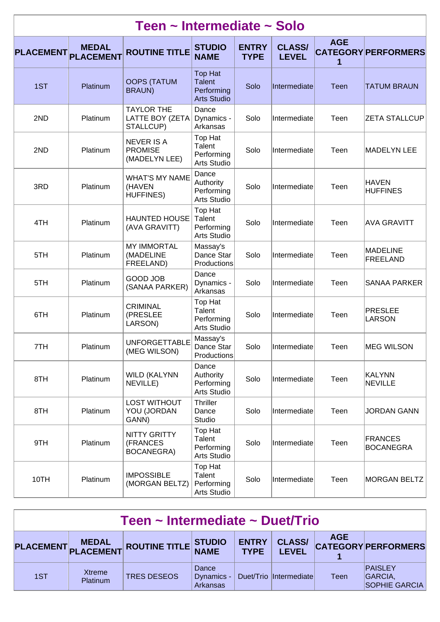|                  | Teen ~ Intermediate ~ Solo       |                                                      |                                                                     |                             |                               |            |                                    |  |  |  |  |  |
|------------------|----------------------------------|------------------------------------------------------|---------------------------------------------------------------------|-----------------------------|-------------------------------|------------|------------------------------------|--|--|--|--|--|
| <b>PLACEMENT</b> | <b>MEDAL</b><br><b>PLACEMENT</b> | <b>ROUTINE TITLE</b>                                 | <b>STUDIO</b><br><b>NAME</b>                                        | <b>ENTRY</b><br><b>TYPE</b> | <b>CLASS/</b><br><b>LEVEL</b> | <b>AGE</b> | <b>CATEGORY PERFORMERS</b>         |  |  |  |  |  |
| 1ST              | Platinum                         | <b>OOPS (TATUM</b><br><b>BRAUN)</b>                  | <b>Top Hat</b><br><b>Talent</b><br>Performing<br><b>Arts Studio</b> | Solo                        | Intermediate                  | Teen       | <b>TATUM BRAUN</b>                 |  |  |  |  |  |
| 2ND              | Platinum                         | <b>TAYLOR THE</b><br>LATTE BOY (ZETA<br>STALLCUP)    | Dance<br>Dynamics -<br>Arkansas                                     | Solo                        | Intermediate                  | Teen       | <b>ZETA STALLCUP</b>               |  |  |  |  |  |
| 2ND              | Platinum                         | <b>NEVER IS A</b><br><b>PROMISE</b><br>(MADELYN LEE) | Top Hat<br>Talent<br>Performing<br><b>Arts Studio</b>               | Solo                        | Intermediate                  | Teen       | <b>MADELYN LEE</b>                 |  |  |  |  |  |
| 3RD              | Platinum                         | <b>WHAT'S MY NAME</b><br>(HAVEN<br><b>HUFFINES)</b>  | Dance<br>Authority<br>Performing<br>Arts Studio                     | Solo                        | Intermediate                  | Teen       | <b>HAVEN</b><br><b>HUFFINES</b>    |  |  |  |  |  |
| 4TH              | Platinum                         | <b>HAUNTED HOUSE</b><br>(AVA GRAVITT)                | Top Hat<br>Talent<br>Performing<br>Arts Studio                      | Solo                        | Intermediate                  | Teen       | <b>AVA GRAVITT</b>                 |  |  |  |  |  |
| 5TH              | Platinum                         | <b>MY IMMORTAL</b><br>(MADELINE<br>FREELAND)         | Massay's<br>Dance Star<br>Productions                               | Solo                        | Intermediate                  | Teen       | <b>MADELINE</b><br><b>FREELAND</b> |  |  |  |  |  |
| 5TH              | Platinum                         | <b>GOOD JOB</b><br>(SANAA PARKER)                    | Dance<br>Dynamics -<br>Arkansas                                     | Solo                        | Intermediate                  | Teen       | <b>SANAA PARKER</b>                |  |  |  |  |  |
| 6TH              | Platinum                         | <b>CRIMINAL</b><br>(PRESLEE<br>LARSON)               | Top Hat<br>Talent<br>Performing<br>Arts Studio                      | Solo                        | Intermediate                  | Teen       | <b>PRESLEE</b><br><b>LARSON</b>    |  |  |  |  |  |
| 7TH              | Platinum                         | <b>UNFORGETTABLE</b><br>(MEG WILSON)                 | Massay's<br>Dance Star<br>Productions                               | Solo                        | Intermediate                  | Teen       | <b>MEG WILSON</b>                  |  |  |  |  |  |
| 8TH              | Platinum                         | <b>WILD (KALYNN</b><br>NEVILLE)                      | Dance<br>Authority<br>Performing<br>Arts Studio                     | Solo                        | Intermediate                  | Teen       | KALYNN<br><b>NEVILLE</b>           |  |  |  |  |  |
| 8TH              | Platinum                         | <b>LOST WITHOUT</b><br>YOU (JORDAN<br>GANN)          | <b>Thriller</b><br>Dance<br>Studio                                  | Solo                        | Intermediate                  | Teen       | <b>JORDAN GANN</b>                 |  |  |  |  |  |
| 9TH              | Platinum                         | <b>NITTY GRITTY</b><br>(FRANCES<br>BOCANEGRA)        | Top Hat<br>Talent<br>Performing<br>Arts Studio                      | Solo                        | Intermediate                  | Teen       | <b>FRANCES</b><br><b>BOCANEGRA</b> |  |  |  |  |  |
| 10TH             | Platinum                         | <b>IMPOSSIBLE</b><br>(MORGAN BELTZ)                  | Top Hat<br>Talent<br>Performing<br>Arts Studio                      | Solo                        | Intermediate                  | Teen       | <b>MORGAN BELTZ</b>                |  |  |  |  |  |

| Teen ~ Intermediate ~ Duet/Trio                                                                                                                            |                    |                    |                                 |  |                        |      |                                                   |  |
|------------------------------------------------------------------------------------------------------------------------------------------------------------|--------------------|--------------------|---------------------------------|--|------------------------|------|---------------------------------------------------|--|
| <b>AGE</b><br><b>CLASS/</b><br><b>ENTRY</b><br>MEDAL ROUTINE TITLE STUDIO<br><b>CATEGORY PERFORMERS</b><br><b>PLACEMENT</b><br><b>TYPE</b><br><b>LEVEL</b> |                    |                    |                                 |  |                        |      |                                                   |  |
| 1ST                                                                                                                                                        | Xtreme<br>Platinum | <b>TRES DESEOS</b> | Dance<br>Dynamics -<br>Arkansas |  | Duet/Trio Intermediate | Teen | <b>PAISLEY</b><br>GARCIA,<br><b>SOPHIE GARCIA</b> |  |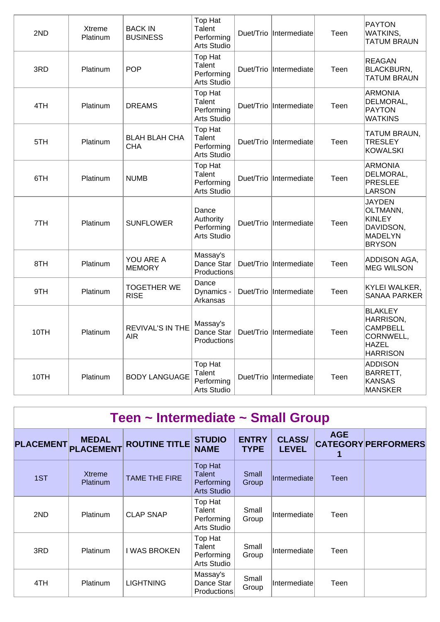| 2ND  | Xtreme<br>Platinum | <b>BACK IN</b><br><b>BUSINESS</b>  | Top Hat<br>Talent<br>Performing<br>Arts Studio               | Duet/Trio | Intermediate | Teen | <b>PAYTON</b><br><b>WATKINS,</b><br><b>TATUM BRAUN</b>                                         |
|------|--------------------|------------------------------------|--------------------------------------------------------------|-----------|--------------|------|------------------------------------------------------------------------------------------------|
| 3RD  | Platinum           | <b>POP</b>                         | Top Hat<br>Talent<br>Performing<br>Arts Studio               | Duet/Trio | Intermediate | Teen | <b>REAGAN</b><br><b>BLACKBURN,</b><br><b>TATUM BRAUN</b>                                       |
| 4TH  | Platinum           | <b>DREAMS</b>                      | <b>Top Hat</b><br><b>Talent</b><br>Performing<br>Arts Studio | Duet/Trio | Intermediate | Teen | <b>ARMONIA</b><br>DELMORAL,<br>PAYTON<br><b>WATKINS</b>                                        |
| 5TH  | Platinum           | <b>BLAH BLAH CHA</b><br><b>CHA</b> | Top Hat<br>Talent<br>Performing<br>Arts Studio               | Duet/Trio | Intermediate | Teen | TATUM BRAUN,<br><b>TRESLEY</b><br><b>KOWALSKI</b>                                              |
| 6TH  | Platinum           | <b>NUMB</b>                        | Top Hat<br>Talent<br>Performing<br>Arts Studio               | Duet/Trio | Intermediate | Teen | <b>ARMONIA</b><br>DELMORAL,<br><b>PRESLEE</b><br><b>LARSON</b>                                 |
| 7TH  | Platinum           | <b>SUNFLOWER</b>                   | Dance<br>Authority<br>Performing<br>Arts Studio              | Duet/Trio | Intermediate | Teen | <b>JAYDEN</b><br>OLTMANN,<br><b>KINLEY</b><br>DAVIDSON,<br>MADELYN<br><b>BRYSON</b>            |
| 8TH  | Platinum           | YOU ARE A<br><b>MEMORY</b>         | Massay's<br>Dance Star<br>Productions                        | Duet/Trio | Intermediate | Teen | <b>ADDISON AGA,</b><br><b>MEG WILSON</b>                                                       |
| 9TH  | Platinum           | <b>TOGETHER WE</b><br><b>RISE</b>  | Dance<br>Dynamics -<br>Arkansas                              | Duet/Trio | Intermediate | Teen | <b>KYLEI WALKER,</b><br><b>SANAA PARKER</b>                                                    |
| 10TH | Platinum           | <b>REVIVAL'S IN THE</b><br>AIR     | Massay's<br>Dance Star<br>Productions                        | Duet/Trio | Intermediate | Teen | <b>BLAKLEY</b><br>HARRISON,<br><b>CAMPBELL</b><br>CORNWELL,<br><b>HAZEL</b><br><b>HARRISON</b> |
| 10TH | Platinum           | <b>BODY LANGUAGE</b>               | Top Hat<br><b>Talent</b><br>Performing<br>Arts Studio        | Duet/Trio | Intermediate | Teen | <b>ADDISON</b><br>BARRETT,<br><b>KANSAS</b><br>MANSKER                                         |

| Teen ~ Intermediate ~ Small Group |                                  |                      |                                                              |                             |                               |            |                            |  |  |  |
|-----------------------------------|----------------------------------|----------------------|--------------------------------------------------------------|-----------------------------|-------------------------------|------------|----------------------------|--|--|--|
| <b>PLACEMENT</b>                  | <b>MEDAL</b><br><b>PLACEMENT</b> | <b>ROUTINE TITLE</b> | <b>STUDIO</b><br><b>NAME</b>                                 | <b>ENTRY</b><br><b>TYPE</b> | <b>CLASS/</b><br><b>LEVEL</b> | <b>AGE</b> | <b>CATEGORY PERFORMERS</b> |  |  |  |
| 1ST                               | <b>Xtreme</b><br>Platinum        | <b>TAME THE FIRE</b> | Top Hat<br><b>Talent</b><br>Performing<br><b>Arts Studio</b> | Small<br>Group              | Intermediate                  | Teen       |                            |  |  |  |
| 2ND                               | <b>Platinum</b>                  | <b>CLAP SNAP</b>     | Top Hat<br>Talent<br>Performing<br>Arts Studio               | Small<br>Group              | Intermediate                  | Teen       |                            |  |  |  |
| 3RD                               | <b>Platinum</b>                  | <b>I WAS BROKEN</b>  | Top Hat<br>Talent<br>Performing<br>Arts Studio               | Small<br>Group              | Intermediate                  | Teen       |                            |  |  |  |
| 4TH                               | <b>Platinum</b>                  | <b>LIGHTNING</b>     | Massay's<br>Dance Star<br><b>Productions</b>                 | Small<br>Group              | Intermediate                  | Teen       |                            |  |  |  |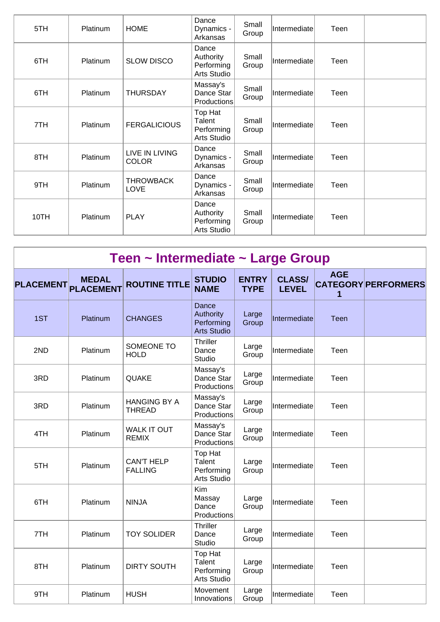| 5TH  | Platinum | <b>HOME</b>                    | Dance<br>Dynamics -<br>Arkansas                 | Small<br>Group | Intermediate | Teen |  |
|------|----------|--------------------------------|-------------------------------------------------|----------------|--------------|------|--|
| 6TH  | Platinum | <b>SLOW DISCO</b>              | Dance<br>Authority<br>Performing<br>Arts Studio | Small<br>Group | Intermediate | Teen |  |
| 6TH  | Platinum | <b>THURSDAY</b>                | Massay's<br>Dance Star<br>Productions           | Small<br>Group | Intermediate | Teen |  |
| 7TH  | Platinum | <b>FERGALICIOUS</b>            | Top Hat<br>Talent<br>Performing<br>Arts Studio  | Small<br>Group | Intermediate | Teen |  |
| 8TH  | Platinum | LIVE IN LIVING<br><b>COLOR</b> | Dance<br>Dynamics -<br>Arkansas                 | Small<br>Group | Intermediate | Teen |  |
| 9TH  | Platinum | <b>THROWBACK</b><br>LOVE       | Dance<br>Dynamics -<br>Arkansas                 | Small<br>Group | Intermediate | Teen |  |
| 10TH | Platinum | <b>PLAY</b>                    | Dance<br>Authority<br>Performing<br>Arts Studio | Small<br>Group | Intermediate | Teen |  |

| <b>PLACEMENT</b> | <b>MEDAL</b><br><b>PLACEMENT</b> | <b>ROUTINE TITLE</b>                 | <b>STUDIO</b><br><b>NAME</b>                           | <b>ENTRY</b><br><b>TYPE</b> | <b>CLASS/</b><br><b>LEVEL</b> | <b>AGE</b><br>1 | <b>CATEGORY PERFORMERS</b> |
|------------------|----------------------------------|--------------------------------------|--------------------------------------------------------|-----------------------------|-------------------------------|-----------------|----------------------------|
| 1ST              | Platinum                         | <b>CHANGES</b>                       | Dance<br>Authority<br>Performing<br><b>Arts Studio</b> | Large<br>Group              | Intermediate                  | Teen            |                            |
| 2ND              | Platinum                         | SOMEONE TO<br><b>HOLD</b>            | <b>Thriller</b><br>Dance<br>Studio                     | Large<br>Group              | Intermediate                  | Teen            |                            |
| 3RD              | Platinum                         | QUAKE                                | Massay's<br>Dance Star<br>Productions                  | Large<br>Group              | Intermediate                  | Teen            |                            |
| 3RD              | Platinum                         | <b>HANGING BY A</b><br><b>THREAD</b> | Massay's<br>Dance Star<br>Productions                  | Large<br>Group              | Intermediate                  | Teen            |                            |
| 4TH              | Platinum                         | <b>WALK IT OUT</b><br><b>REMIX</b>   | Massay's<br>Dance Star<br>Productions                  | Large<br>Group              | Intermediate                  | Teen            |                            |
| 5TH              | Platinum                         | <b>CAN'T HELP</b><br><b>FALLING</b>  | Top Hat<br>Talent<br>Performing<br><b>Arts Studio</b>  | Large<br>Group              | Intermediate                  | Teen            |                            |
| 6TH              | Platinum                         | <b>NINJA</b>                         | Kim<br>Massay<br>Dance<br>Productions                  | Large<br>Group              | Intermediate                  | Teen            |                            |
| 7TH              | Platinum                         | <b>TOY SOLIDER</b>                   | <b>Thriller</b><br>Dance<br><b>Studio</b>              | Large<br>Group              | Intermediate                  | Teen            |                            |
| 8TH              | Platinum                         | <b>DIRTY SOUTH</b>                   | Top Hat<br>Talent<br>Performing<br>Arts Studio         | Large<br>Group              | Intermediate                  | Teen            |                            |
| 9TH              | Platinum                         | <b>HUSH</b>                          | Movement<br>Innovations                                | Large<br>Group              | Intermediate                  | Teen            |                            |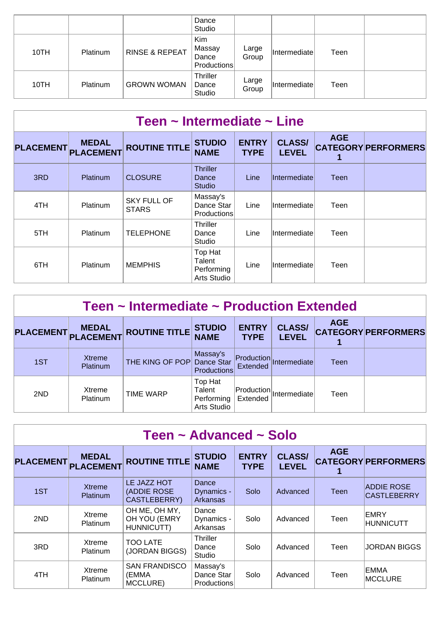|      |          |                           | Dance<br>Studio                       |                |                     |      |  |
|------|----------|---------------------------|---------------------------------------|----------------|---------------------|------|--|
| 10TH | Platinum | <b>RINSE &amp; REPEAT</b> | Kim<br>Massay<br>Dance<br>Productions | Large<br>Group | <i>Intermediate</i> | Teen |  |
| 10TH | Platinum | <b>GROWN WOMAN</b>        | <b>Thriller</b><br>Dance<br>Studio    | Large<br>Group | <i>Intermediate</i> | Teen |  |

| Teen $\sim$ Intermediate $\sim$ Line |                                  |                                    |                                                |                             |                               |            |                            |  |  |  |
|--------------------------------------|----------------------------------|------------------------------------|------------------------------------------------|-----------------------------|-------------------------------|------------|----------------------------|--|--|--|
| <b>PLACEMENT</b>                     | <b>MEDAL</b><br><b>PLACEMENT</b> | <b>ROUTINE TITLE</b>               | <b>STUDIO</b><br><b>NAME</b>                   | <b>ENTRY</b><br><b>TYPE</b> | <b>CLASS/</b><br><b>LEVEL</b> | <b>AGE</b> | <b>CATEGORY PERFORMERS</b> |  |  |  |
| 3RD                                  | Platinum                         | <b>CLOSURE</b>                     | <b>Thriller</b><br>Dance<br><b>Studio</b>      | Line                        | <b>Intermediate</b>           | Teen       |                            |  |  |  |
| 4TH                                  | Platinum                         | <b>SKY FULL OF</b><br><b>STARS</b> | Massay's<br>Dance Star<br><b>Productions</b>   | Line                        | Intermediate                  | Teen       |                            |  |  |  |
| 5TH                                  | <b>Platinum</b>                  | <b>TELEPHONE</b>                   | <b>Thriller</b><br>Dance<br>Studio             | Line                        | Intermediate                  | Teen       |                            |  |  |  |
| 6TH                                  | <b>Platinum</b>                  | <b>MEMPHIS</b>                     | Top Hat<br>Talent<br>Performing<br>Arts Studio | Line                        | Intermediate                  | Teen       |                            |  |  |  |

| Teen $\sim$ Intermediate $\sim$ Production Extended |                                  |                      |                                                |                             |                                 |            |                            |  |  |  |
|-----------------------------------------------------|----------------------------------|----------------------|------------------------------------------------|-----------------------------|---------------------------------|------------|----------------------------|--|--|--|
| <b>PLACEMENT</b>                                    | <b>MEDAL</b><br><b>PLACEMENT</b> | <b>ROUTINE TITLE</b> | <b>STUDIO</b><br><b>NAME</b>                   | <b>ENTRY</b><br><b>TYPE</b> | <b>CLASS/</b><br><b>LEVEL</b>   | <b>AGE</b> | <b>CATEGORY PERFORMERS</b> |  |  |  |
| 1ST                                                 | <b>Xtreme</b><br>Platinum        | THE KING OF POP      | Massay's<br>Dance Star<br><b>Productions</b>   | Extended                    | Production Intermediate         | Teen       |                            |  |  |  |
| 2ND                                                 | Xtreme<br>Platinum               | <b>TIME WARP</b>     | Top Hat<br>Talent<br>Performing<br>Arts Studio | Extended                    | $ $ Production $ $ Intermediate | Teen       |                            |  |  |  |

| Teen ~ Advanced ~ Solo |                                  |                                             |                                              |                             |                               |            |                                         |  |  |  |
|------------------------|----------------------------------|---------------------------------------------|----------------------------------------------|-----------------------------|-------------------------------|------------|-----------------------------------------|--|--|--|
| <b>PLACEMENT</b>       | <b>MEDAL</b><br><b>PLACEMENT</b> | <b>ROUTINE TITLE</b>                        | <b>STUDIO</b><br><b>NAME</b>                 | <b>ENTRY</b><br><b>TYPE</b> | <b>CLASS/</b><br><b>LEVEL</b> | <b>AGE</b> | <b>CATEGORY PERFORMERS</b>              |  |  |  |
| 1ST                    | <b>Xtreme</b><br><b>Platinum</b> | LE JAZZ HOT<br>(ADDIE ROSE<br>CASTLEBERRY)  | Dance<br>Dynamics -<br>Arkansas              | Solo                        | Advanced                      | Teen       | <b>ADDIE ROSE</b><br><b>CASTLEBERRY</b> |  |  |  |
| 2ND                    | Xtreme<br><b>Platinum</b>        | OH ME, OH MY,<br>OH YOU (EMRY<br>HUNNICUTT) | Dance<br>Dynamics -<br>Arkansas              | Solo                        | Advanced                      | Teen       | ∣EMRY<br>HUNNICUTT                      |  |  |  |
| 3RD                    | Xtreme<br><b>Platinum</b>        | <b>TOO LATE</b><br>(JORDAN BIGGS)           | Thriller<br>Dance<br>Studio                  | Solo                        | Advanced                      | Teen       | <b>JORDAN BIGGS</b>                     |  |  |  |
| 4TH                    | Xtreme<br><b>Platinum</b>        | <b>SAN FRANDISCO</b><br>(EMMA<br>MCCLURE)   | Massay's<br>Dance Star<br><b>Productions</b> | Solo                        | Advanced                      | Teen       | EMMA<br>MCCLURE                         |  |  |  |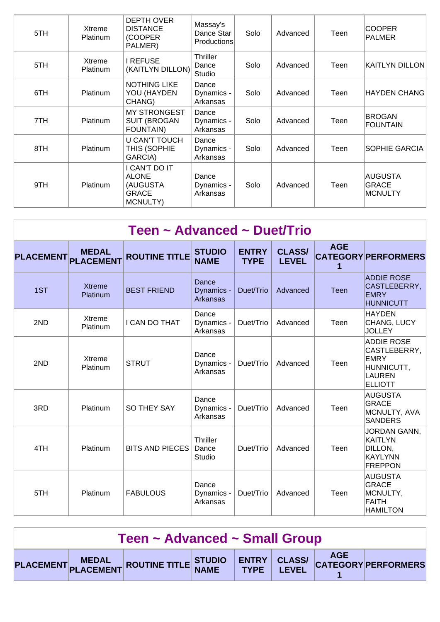| 5TH | Xtreme<br>Platinum        | <b>DEPTH OVER</b><br><b>DISTANCE</b><br>(COOPER<br>PALMER)          | Massay's<br>Dance Star<br><b>Productions</b> | Solo | Advanced | Teen | <b>COOPER</b><br><b>PALMER</b>     |
|-----|---------------------------|---------------------------------------------------------------------|----------------------------------------------|------|----------|------|------------------------------------|
| 5TH | Xtreme<br><b>Platinum</b> | I REFUSE<br>(KAITLYN DILLON)                                        | <b>Thriller</b><br>Dance<br>Studio           | Solo | Advanced | Teen | KAITLYN DILLON                     |
| 6TH | Platinum                  | <b>NOTHING LIKE</b><br>YOU (HAYDEN<br>CHANG)                        | Dance<br>Dynamics -<br>Arkansas              | Solo | Advanced | Teen | <b>HAYDEN CHANG</b>                |
| 7TH | Platinum                  | <b>MY STRONGEST</b><br><b>SUIT (BROGAN)</b><br>FOUNTAIN)            | Dance<br>Dynamics -<br>Arkansas              | Solo | Advanced | Teen | <b>BROGAN</b><br><b>FOUNTAIN</b>   |
| 8TH | Platinum                  | <b>U CAN'T TOUCH</b><br>THIS (SOPHIE<br>GARCIA)                     | Dance<br>Dynamics -<br>Arkansas              | Solo | Advanced | Teen | SOPHIE GARCIA                      |
| 9TH | Platinum                  | CAN'T DO IT<br><b>ALONE</b><br>(AUGUSTA<br><b>GRACE</b><br>MCNULTY) | Dance<br>Dynamics -<br>Arkansas              | Solo | Advanced | Teen | AUGUSTA<br><b>GRACE</b><br>MCNULTY |

|                  | Teen ~ Advanced ~ Duet/Trio      |                        |                                 |                             |                               |             |                                                                                            |  |  |  |  |
|------------------|----------------------------------|------------------------|---------------------------------|-----------------------------|-------------------------------|-------------|--------------------------------------------------------------------------------------------|--|--|--|--|
| <b>PLACEMENT</b> | <b>MEDAL</b><br><b>PLACEMENT</b> | <b>ROUTINE TITLE</b>   | <b>STUDIO</b><br><b>NAME</b>    | <b>ENTRY</b><br><b>TYPE</b> | <b>CLASS/</b><br><b>LEVEL</b> | <b>AGE</b>  | <b>CATEGORY PERFORMERS</b>                                                                 |  |  |  |  |
| 1ST              | <b>Xtreme</b><br>Platinum        | <b>BEST FRIEND</b>     | Dance<br>Dynamics -<br>Arkansas | Duet/Trio                   | Advanced                      | <b>Teen</b> | <b>ADDIE ROSE</b><br>CASTLEBERRY,<br><b>EMRY</b><br><b>HUNNICUTT</b>                       |  |  |  |  |
| 2ND              | Xtreme<br>Platinum               | I CAN DO THAT          | Dance<br>Dynamics -<br>Arkansas | Duet/Trio                   | Advanced                      | Teen        | HAYDEN<br>CHANG, LUCY<br><b>JOLLEY</b>                                                     |  |  |  |  |
| 2ND              | Xtreme<br>Platinum               | <b>STRUT</b>           | Dance<br>Dynamics -<br>Arkansas | Duet/Trio                   | Advanced                      | Teen        | <b>ADDIE ROSE</b><br>CASTLEBERRY,<br>EMRY<br>HUNNICUTT,<br><b>LAUREN</b><br><b>ELLIOTT</b> |  |  |  |  |
| 3RD              | Platinum                         | SO THEY SAY            | Dance<br>Dynamics -<br>Arkansas | Duet/Trio                   | Advanced                      | Teen        | <b>AUGUSTA</b><br><b>GRACE</b><br>MCNULTY, AVA<br><b>SANDERS</b>                           |  |  |  |  |
| 4TH              | Platinum                         | <b>BITS AND PIECES</b> | Thriller<br>Dance<br>Studio     | Duet/Trio                   | Advanced                      | Teen        | JORDAN GANN,<br>KAITLYN<br>DILLON.<br>KAYLYNN<br><b>FREPPON</b>                            |  |  |  |  |
| 5TH              | Platinum                         | <b>FABULOUS</b>        | Dance<br>Dynamics -<br>Arkansas | Duet/Trio                   | Advanced                      | Teen        | IAUGUSTA<br>GRACE<br>MCNULTY,<br>FAITH<br><b>HAMILTON</b>                                  |  |  |  |  |

| Teen ~ Advanced ~ Small Group |  |                                                                       |  |  |  |  |  |  |
|-------------------------------|--|-----------------------------------------------------------------------|--|--|--|--|--|--|
|                               |  | PLACEMENT MEDAL ROUTINE TITLE STUDIO ENTRY CLASS/ CATEGORY PERFORMERS |  |  |  |  |  |  |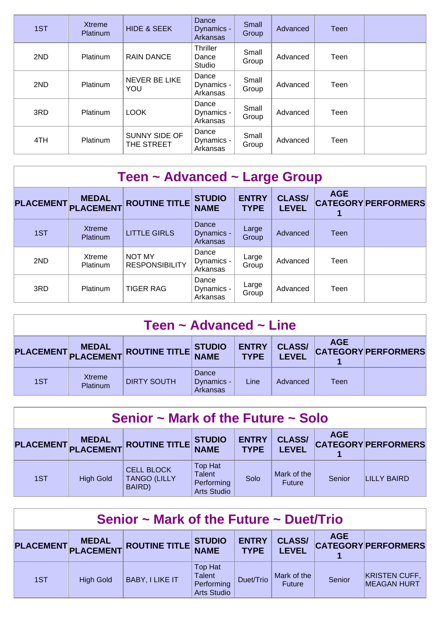| 1ST | <b>Xtreme</b><br>Platinum | <b>HIDE &amp; SEEK</b>      | Dance<br>Dynamics -<br><b>Arkansas</b> | Small<br>Group | Advanced | <b>Teen</b> |  |
|-----|---------------------------|-----------------------------|----------------------------------------|----------------|----------|-------------|--|
| 2ND | Platinum                  | <b>RAIN DANCE</b>           | Thriller<br>Dance<br>Studio            | Small<br>Group | Advanced | Teen        |  |
| 2ND | Platinum                  | NEVER BE LIKE<br>YOU        | Dance<br>Dynamics -<br>Arkansas        | Small<br>Group | Advanced | Teen        |  |
| 3RD | Platinum                  | <b>LOOK</b>                 | Dance<br>Dynamics -<br>Arkansas        | Small<br>Group | Advanced | Teen        |  |
| 4TH | Platinum                  | SUNNY SIDE OF<br>THE STREET | Dance<br>Dynamics -<br>Arkansas        | Small<br>Group | Advanced | Teen        |  |

| Teen ~ Advanced ~ Large Group |                                  |                                 |                                        |                             |                               |            |                            |  |  |  |
|-------------------------------|----------------------------------|---------------------------------|----------------------------------------|-----------------------------|-------------------------------|------------|----------------------------|--|--|--|
| <b>PLACEMENT</b>              | <b>MEDAL</b><br><b>PLACEMENT</b> | <b>ROUTINE TITLE</b>            | <b>STUDIO</b><br><b>NAME</b>           | <b>ENTRY</b><br><b>TYPE</b> | <b>CLASS/</b><br><b>LEVEL</b> | <b>AGE</b> | <b>CATEGORY PERFORMERS</b> |  |  |  |
| 1ST                           | Xtreme<br>Platinum               | <b>LITTLE GIRLS</b>             | Dance<br>Dynamics -<br><b>Arkansas</b> | Large<br>Group              | Advanced                      | Teen       |                            |  |  |  |
| 2ND                           | Xtreme<br>Platinum               | NOT MY<br><b>RESPONSIBILITY</b> | Dance<br>Dynamics -<br>Arkansas        | Large<br>Group              | Advanced                      | Teen       |                            |  |  |  |
| 3RD                           | Platinum                         | <b>TIGER RAG</b>                | Dance<br>Dynamics -<br>Arkansas        | Large<br>Group              | Advanced                      | Teen       |                            |  |  |  |

| Teen $\sim$ Advanced $\sim$ Line |                    |                                      |                                 |                             |                               |            |                            |  |  |
|----------------------------------|--------------------|--------------------------------------|---------------------------------|-----------------------------|-------------------------------|------------|----------------------------|--|--|
|                                  |                    | PLACEMENT MEDAL ROUTINE TITLE STUDIO |                                 | <b>ENTRY</b><br><b>TYPE</b> | <b>CLASS/</b><br><b>LEVEL</b> | <b>AGE</b> | <b>CATEGORY PERFORMERS</b> |  |  |
| 1ST                              | Xtreme<br>Platinum | <b>DIRTY SOUTH</b>                   | Dance<br>Dynamics -<br>Arkansas | Line                        | Advanced                      | Teen       |                            |  |  |

| Senior $\sim$ Mark of the Future $\sim$ Solo |                  |                                                    |                                                                     |                             |                               |            |                            |  |  |
|----------------------------------------------|------------------|----------------------------------------------------|---------------------------------------------------------------------|-----------------------------|-------------------------------|------------|----------------------------|--|--|
| <b>PLACEMENT</b>                             |                  | MEDAL ROUTINE TITLE                                | <b>STUDIO<br/>NAME</b>                                              | <b>ENTRY</b><br><b>TYPE</b> | <b>CLASS/</b><br><b>LEVEL</b> | <b>AGE</b> | <b>CATEGORY PERFORMERS</b> |  |  |
| 1ST                                          | <b>High Gold</b> | <b>CELL BLOCK</b><br><b>TANGO (LILLY</b><br>BAIRD) | <b>Top Hat</b><br><b>Talent</b><br>Performing<br><b>Arts Studio</b> | Solo                        | Mark of the<br><b>Future</b>  | Senior     | LILLY BAIRD                |  |  |

| Senior $\sim$ Mark of the Future $\sim$ Duet/Trio                                                                                                                                                                  |                  |                        |                                                                     |           |                              |        |                                            |  |  |
|--------------------------------------------------------------------------------------------------------------------------------------------------------------------------------------------------------------------|------------------|------------------------|---------------------------------------------------------------------|-----------|------------------------------|--------|--------------------------------------------|--|--|
| <b>AGE</b><br><b>ENTRY</b><br><b>CLASS/</b><br><b>MEDAL</b><br><b>STUDIO</b><br>$ $ ROUTINE TITLE $ $<br><b>PLACEMENT</b><br><b>CATEGORY PERFORMERS</b><br>PLACEMENT<br><b>NAME</b><br><b>TYPE</b><br><b>LEVEL</b> |                  |                        |                                                                     |           |                              |        |                                            |  |  |
| 1ST                                                                                                                                                                                                                | <b>High Gold</b> | <b>BABY, I LIKE IT</b> | <b>Top Hat</b><br><b>Talent</b><br>Performing<br><b>Arts Studio</b> | Duet/Trio | Mark of the<br><b>Future</b> | Senior | <b>KRISTEN CUFF,</b><br><b>MEAGAN HURT</b> |  |  |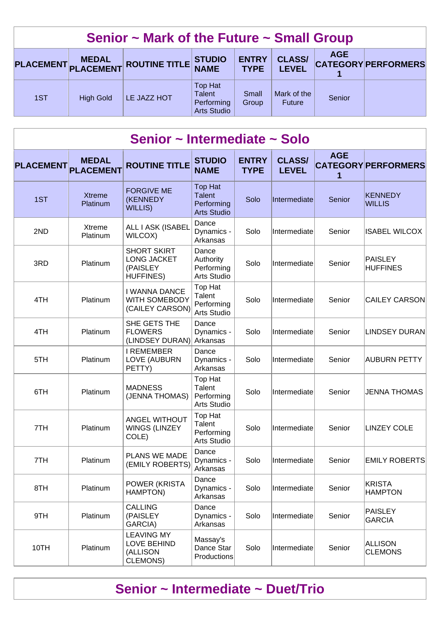|                                                                                                                                                  | Senior $\sim$ Mark of the Future $\sim$ Small Group |                  |             |                                                              |                |                              |        |  |  |  |  |
|--------------------------------------------------------------------------------------------------------------------------------------------------|-----------------------------------------------------|------------------|-------------|--------------------------------------------------------------|----------------|------------------------------|--------|--|--|--|--|
| <b>AGE</b><br><b>CLASS/</b><br><b>ENTRY</b><br>PLACEMENT MEDAL ROUTINE TITLE STUDIO<br><b>CATEGORY PERFORMERS</b><br><b>TYPE</b><br><b>LEVEL</b> |                                                     |                  |             |                                                              |                |                              |        |  |  |  |  |
|                                                                                                                                                  | 1ST                                                 | <b>High Gold</b> | LE JAZZ HOT | Top Hat<br><b>Talent</b><br>Performing<br><b>Arts Studio</b> | Small<br>Group | Mark of the<br><b>Future</b> | Senior |  |  |  |  |

| Senior ~ Intermediate ~ Solo |                                  |                                                                          |                                                                     |                             |                               |                 |                                  |  |  |  |  |
|------------------------------|----------------------------------|--------------------------------------------------------------------------|---------------------------------------------------------------------|-----------------------------|-------------------------------|-----------------|----------------------------------|--|--|--|--|
| <b>PLACEMENT</b>             | <b>MEDAL</b><br><b>PLACEMENT</b> | <b>ROUTINE TITLE</b>                                                     | <b>STUDIO</b><br><b>NAME</b>                                        | <b>ENTRY</b><br><b>TYPE</b> | <b>CLASS/</b><br><b>LEVEL</b> | <b>AGE</b><br>1 | <b>CATEGORY PERFORMERS</b>       |  |  |  |  |
| 1ST                          | <b>Xtreme</b><br>Platinum        | <b>FORGIVE ME</b><br>(KENNEDY<br><b>WILLIS)</b>                          | <b>Top Hat</b><br><b>Talent</b><br>Performing<br><b>Arts Studio</b> | Solo                        | Intermediate                  | Senior          | <b>KENNEDY</b><br><b>WILLIS</b>  |  |  |  |  |
| 2ND                          | Xtreme<br>Platinum               | ALL I ASK (ISABEL<br>WILCOX)                                             | Dance<br>Dynamics -<br>Arkansas                                     | Solo                        | Intermediate                  | Senior          | <b>ISABEL WILCOX</b>             |  |  |  |  |
| 3RD                          | Platinum                         | <b>SHORT SKIRT</b><br><b>LONG JACKET</b><br>(PAISLEY<br><b>HUFFINES)</b> | Dance<br>Authority<br>Performing<br><b>Arts Studio</b>              | Solo                        | Intermediate                  | Senior          | PAISLEY<br><b>HUFFINES</b>       |  |  |  |  |
| 4TH                          | Platinum                         | <b>I WANNA DANCE</b><br>WITH SOMEBODY<br>(CAILEY CARSON)                 | Top Hat<br>Talent<br>Performing<br>Arts Studio                      | Solo                        | Intermediate                  | Senior          | <b>CAILEY CARSON</b>             |  |  |  |  |
| 4TH                          | Platinum                         | SHE GETS THE<br><b>FLOWERS</b><br>(LINDSEY DURAN)                        | Dance<br>Dynamics -<br>Arkansas                                     | Solo                        | Intermediate                  | Senior          | LINDSEY DURAN                    |  |  |  |  |
| 5TH                          | Platinum                         | <b>I REMEMBER</b><br>LOVE (AUBURN<br>PETTY)                              | Dance<br>Dynamics -<br>Arkansas                                     | Solo                        | Intermediate                  | Senior          | AUBURN PETTY                     |  |  |  |  |
| 6TH                          | Platinum                         | <b>MADNESS</b><br>(JENNA THOMAS)                                         | Top Hat<br>Talent<br>Performing<br><b>Arts Studio</b>               | Solo                        | Intermediate                  | Senior          | <b>JENNA THOMAS</b>              |  |  |  |  |
| 7TH                          | Platinum                         | ANGEL WITHOUT<br>WINGS (LINZEY<br>COLE)                                  | Top Hat<br>Talent<br>Performing<br>Arts Studio                      | Solo                        | Intermediate                  | Senior          | <b>LINZEY COLE</b>               |  |  |  |  |
| 7TH                          | Platinum                         | PLANS WE MADE<br>(EMILY ROBERTS)                                         | Dance<br>Dynamics -<br>Arkansas                                     | Solo                        | Intermediate                  | Senior          | <b>EMILY ROBERTS</b>             |  |  |  |  |
| 8TH                          | Platinum                         | POWER (KRISTA<br>HAMPTON)                                                | Dance<br>Dynamics -<br>Arkansas                                     | Solo                        | Intermediate                  | Senior          | KRISTA<br><b>HAMPTON</b>         |  |  |  |  |
| 9TH                          | Platinum                         | <b>CALLING</b><br>(PAISLEY<br>GARCIA)                                    | Dance<br>Dynamics -<br>Arkansas                                     | Solo                        | Intermediate                  | Senior          | <b>PAISLEY</b><br><b>GARCIA</b>  |  |  |  |  |
| 10TH                         | Platinum                         | <b>LEAVING MY</b><br><b>LOVE BEHIND</b><br>(ALLISON<br>CLEMONS)          | Massay's<br>Dance Star<br>Productions                               | Solo                        | Intermediate                  | Senior          | <b>ALLISON</b><br><b>CLEMONS</b> |  |  |  |  |

# **Senior ~ Intermediate ~ Duet/Trio**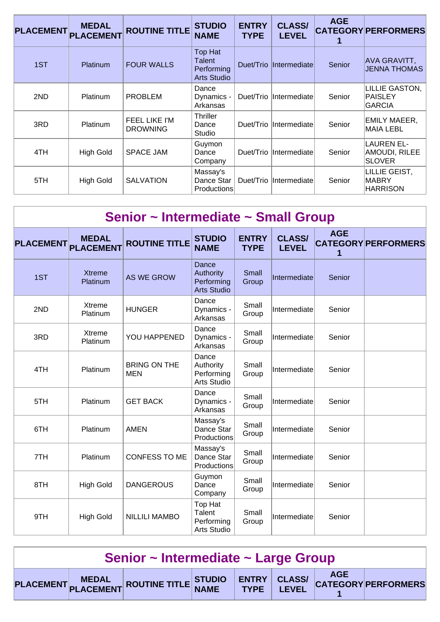| <b>PLACEMENT</b> | <b>MEDAL</b><br><b>PLACEMENT</b> | <b>ROUTINE TITLE</b>             | <b>STUDIO</b><br><b>NAME</b>                                        | <b>ENTRY</b><br><b>TYPE</b> | <b>CLASS/</b><br><b>LEVEL</b> | <b>AGE</b> | <b>CATEGORY PERFORMERS</b>                          |
|------------------|----------------------------------|----------------------------------|---------------------------------------------------------------------|-----------------------------|-------------------------------|------------|-----------------------------------------------------|
| 1ST              | Platinum                         | <b>FOUR WALLS</b>                | <b>Top Hat</b><br><b>Talent</b><br>Performing<br><b>Arts Studio</b> | Duet/Trio                   | Intermediate                  | Senior     | <b>AVA GRAVITT,</b><br>JENNA THOMAS                 |
| 2ND              | <b>Platinum</b>                  | <b>PROBLEM</b>                   | Dance<br>Dynamics -<br>Arkansas                                     | Duet/Trio                   | <i>Intermediate</i>           | Senior     | <b>LILLIE GASTON,</b><br><b>PAISLEY</b><br>GARCIA   |
| 3RD              | Platinum                         | FEEL LIKE I'M<br><b>DROWNING</b> | <b>Thriller</b><br>Dance<br>Studio                                  | Duet/Trio                   | Intermediate                  | Senior     | <b>EMILY MAEER,</b><br>MAIA LEBL                    |
| 4TH              | <b>High Gold</b>                 | <b>SPACE JAM</b>                 | Guymon<br>Dance<br>Company                                          | Duet/Trio                   | Intermediate                  | Senior     | <b>LAUREN EL-</b><br>AMOUDI, RILEE<br><b>SLOVER</b> |
| 5TH              | <b>High Gold</b>                 | <b>SALVATION</b>                 | Massay's<br>Dance Star<br>Productions                               | Duet/Trio                   | <b>Intermediate</b>           | Senior     | LILLIE GEIST,<br>MABRY<br><b>HARRISON</b>           |

| Senior ~ Intermediate ~ Small Group |                                  |                                   |                                                        |                             |                               |            |                            |  |  |  |  |
|-------------------------------------|----------------------------------|-----------------------------------|--------------------------------------------------------|-----------------------------|-------------------------------|------------|----------------------------|--|--|--|--|
| <b>PLACEMENT</b>                    | <b>MEDAL</b><br><b>PLACEMENT</b> | <b>ROUTINE TITLE</b>              | <b>STUDIO</b><br><b>NAME</b>                           | <b>ENTRY</b><br><b>TYPE</b> | <b>CLASS/</b><br><b>LEVEL</b> | <b>AGE</b> | <b>CATEGORY PERFORMERS</b> |  |  |  |  |
| 1ST                                 | <b>Xtreme</b><br>Platinum        | <b>AS WE GROW</b>                 | Dance<br>Authority<br>Performing<br><b>Arts Studio</b> | Small<br>Group              | Intermediate                  | Senior     |                            |  |  |  |  |
| 2ND                                 | Xtreme<br>Platinum               | <b>HUNGER</b>                     | Dance<br>Dynamics -<br>Arkansas                        | Small<br>Group              | Intermediate                  | Senior     |                            |  |  |  |  |
| 3RD                                 | Xtreme<br>Platinum               | YOU HAPPENED                      | Dance<br>Dynamics -<br>Arkansas                        | Small<br>Group              | Intermediate                  | Senior     |                            |  |  |  |  |
| 4TH                                 | Platinum                         | <b>BRING ON THE</b><br><b>MEN</b> | Dance<br>Authority<br>Performing<br>Arts Studio        | Small<br>Group              | Intermediate                  | Senior     |                            |  |  |  |  |
| 5TH                                 | Platinum                         | <b>GET BACK</b>                   | Dance<br>Dynamics -<br>Arkansas                        | Small<br>Group              | Intermediate                  | Senior     |                            |  |  |  |  |
| 6TH                                 | Platinum                         | <b>AMEN</b>                       | Massay's<br>Dance Star<br>Productions                  | Small<br>Group              | Intermediate                  | Senior     |                            |  |  |  |  |
| 7TH                                 | Platinum                         | <b>CONFESS TO ME</b>              | Massay's<br>Dance Star<br>Productions                  | Small<br>Group              | Intermediate                  | Senior     |                            |  |  |  |  |
| 8TH                                 | <b>High Gold</b>                 | <b>DANGEROUS</b>                  | Guymon<br>Dance<br>Company                             | Small<br>Group              | Intermediate                  | Senior     |                            |  |  |  |  |
| 9TH                                 | <b>High Gold</b>                 | <b>NILLILI MAMBO</b>              | Top Hat<br>Talent<br>Performing<br>Arts Studio         | Small<br>Group              | Intermediate                  | Senior     |                            |  |  |  |  |

| Senior ~ Intermediate ~ Large Group |  |                                                                       |  |  |  |  |  |  |
|-------------------------------------|--|-----------------------------------------------------------------------|--|--|--|--|--|--|
|                                     |  | PLACEMENT MEDAL ROUTINE TITLE STUDIO ENTRY CLASS/ CATEGORY PERFORMERS |  |  |  |  |  |  |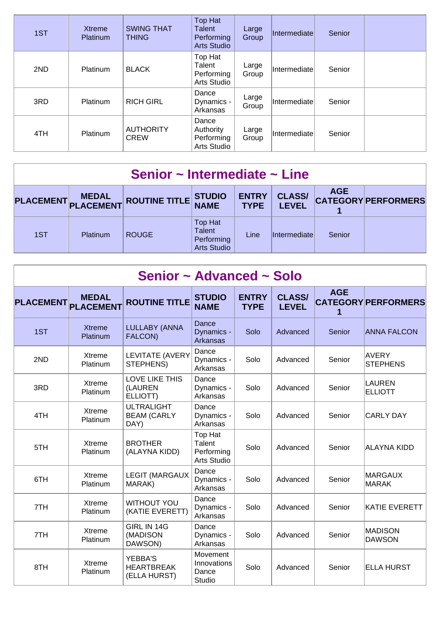| 1ST | Xtreme<br>Platinum | <b>SWING THAT</b><br><b>THING</b> | <b>Top Hat</b><br><b>Talent</b><br>Performing<br><b>Arts Studio</b> | Large<br>Group | Intermediate | Senior |  |
|-----|--------------------|-----------------------------------|---------------------------------------------------------------------|----------------|--------------|--------|--|
| 2ND | Platinum           | <b>BLACK</b>                      | Top Hat<br>Talent<br>Performing<br>Arts Studio                      | Large<br>Group | Intermediate | Senior |  |
| 3RD | <b>Platinum</b>    | <b>RICH GIRL</b>                  | Dance<br>Dynamics -<br>Arkansas                                     | Large<br>Group | Intermediate | Senior |  |
| 4TH | Platinum           | <b>AUTHORITY</b><br><b>CREW</b>   | Dance<br>Authority<br>Performing<br>Arts Studio                     | Large<br>Group | Intermediate | Senior |  |

| Senior $\sim$ Intermediate $\sim$ Line |          |                            |                                                              |                             |                               |            |                            |  |  |
|----------------------------------------|----------|----------------------------|--------------------------------------------------------------|-----------------------------|-------------------------------|------------|----------------------------|--|--|
| <b>PLACEMENT</b>                       |          | MEDAL ROUTINE TITLE STUDIO |                                                              | <b>ENTRY</b><br><b>TYPE</b> | <b>CLASS/</b><br><b>LEVEL</b> | <b>AGE</b> | <b>CATEGORY PERFORMERS</b> |  |  |
| 1ST                                    | Platinum | <b>ROUGE</b>               | <b>Top Hat</b><br>Talent<br>Performing<br><b>Arts Studio</b> | Line                        | <i>Intermediate</i>           | Senior     |                            |  |  |

|                  | Senior ~ Advanced ~ Solo         |                                                     |                                                       |                             |                               |            |                                 |  |  |  |
|------------------|----------------------------------|-----------------------------------------------------|-------------------------------------------------------|-----------------------------|-------------------------------|------------|---------------------------------|--|--|--|
| <b>PLACEMENT</b> | <b>MEDAL</b><br><b>PLACEMENT</b> | <b>ROUTINE TITLE</b>                                | <b>STUDIO</b><br><b>NAME</b>                          | <b>ENTRY</b><br><b>TYPE</b> | <b>CLASS/</b><br><b>LEVEL</b> | <b>AGE</b> | <b>CATEGORY PERFORMERS</b>      |  |  |  |
| 1ST              | <b>Xtreme</b><br>Platinum        | <b>LULLABY (ANNA</b><br>FALCON)                     | Dance<br>Dynamics -<br>Arkansas                       | Solo                        | Advanced                      | Senior     | <b>ANNA FALCON</b>              |  |  |  |
| 2ND              | Xtreme<br>Platinum               | <b>LEVITATE (AVERY</b><br>STEPHENS)                 | Dance<br>Dynamics -<br>Arkansas                       | Solo                        | Advanced                      | Senior     | <b>AVERY</b><br><b>STEPHENS</b> |  |  |  |
| 3RD              | Xtreme<br>Platinum               | LOVE LIKE THIS<br>(LAUREN<br>ELLIOTT)               | Dance<br>Dynamics -<br>Arkansas                       | Solo                        | Advanced                      | Senior     | <b>LAUREN</b><br><b>ELLIOTT</b> |  |  |  |
| 4TH              | Xtreme<br>Platinum               | <b>ULTRALIGHT</b><br><b>BEAM (CARLY</b><br>DAY)     | Dance<br>Dynamics -<br>Arkansas                       | Solo                        | Advanced                      | Senior     | <b>CARLY DAY</b>                |  |  |  |
| 5TH              | <b>Xtreme</b><br>Platinum        | <b>BROTHER</b><br>(ALAYNA KIDD)                     | Top Hat<br>Talent<br>Performing<br><b>Arts Studio</b> | Solo                        | Advanced                      | Senior     | ALAYNA KIDD                     |  |  |  |
| 6TH              | <b>Xtreme</b><br><b>Platinum</b> | <b>LEGIT (MARGAUX</b><br>MARAK)                     | Dance<br>Dynamics -<br>Arkansas                       | Solo                        | Advanced                      | Senior     | MARGAUX<br><b>MARAK</b>         |  |  |  |
| 7TH              | Xtreme<br>Platinum               | <b>WITHOUT YOU</b><br>(KATIE EVERETT)               | Dance<br>Dynamics -<br>Arkansas                       | Solo                        | Advanced                      | Senior     | <b>KATIE EVERETT</b>            |  |  |  |
| 7TH              | Xtreme<br><b>Platinum</b>        | GIRL IN 14G<br>(MADISON<br>DAWSON)                  | Dance<br>Dynamics -<br>Arkansas                       | Solo                        | Advanced                      | Senior     | <b>MADISON</b><br><b>DAWSON</b> |  |  |  |
| 8TH              | Xtreme<br>Platinum               | <b>YEBBA'S</b><br><b>HEARTBREAK</b><br>(ELLA HURST) | Movement<br>Innovations<br>Dance<br>Studio            | Solo                        | Advanced                      | Senior     | <b>ELLA HURST</b>               |  |  |  |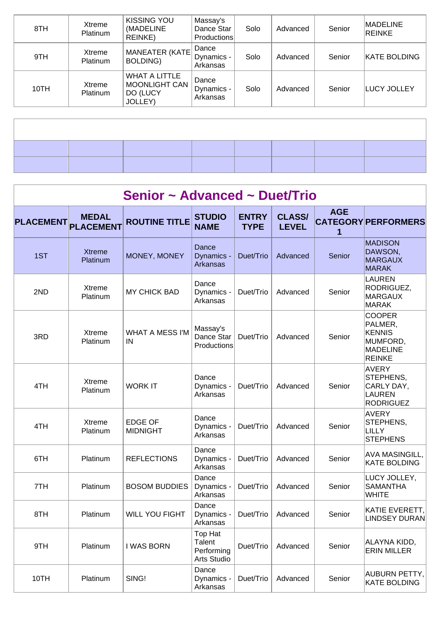| 8TH  | Xtreme<br>Platinum | <b>KISSING YOU</b><br>(MADELINE<br><b>REINKE)</b>                          | Massay's<br>Dance Star<br>Productions | Solo | Advanced | Senior | MADELINE<br><b>REINKE</b> |
|------|--------------------|----------------------------------------------------------------------------|---------------------------------------|------|----------|--------|---------------------------|
| 9TH  | Xtreme<br>Platinum | MANEATER (KATE)<br>BOLDING)                                                | Dance<br>Dynamics -<br>Arkansas       | Solo | Advanced | Senior | <b>KATE BOLDING</b>       |
| 10TH | Xtreme<br>Platinum | <b>WHAT A LITTLE</b><br><b>MOONLIGHT CAN</b><br>DO (LUCY<br><b>JOLLEY)</b> | Dance<br>Dynamics -<br>Arkansas       | Solo | Advanced | Senior | LUCY JOLLEY               |
|      |                    |                                                                            |                                       |      |          |        |                           |

|                  | Senior ~ Advanced ~ Duet/Trio    |                                   |                                                |                             |                               |                 |                                                                                    |  |  |  |  |
|------------------|----------------------------------|-----------------------------------|------------------------------------------------|-----------------------------|-------------------------------|-----------------|------------------------------------------------------------------------------------|--|--|--|--|
| <b>PLACEMENT</b> | <b>MEDAL</b><br><b>PLACEMENT</b> | <b>ROUTINE TITLE</b>              | <b>STUDIO</b><br><b>NAME</b>                   | <b>ENTRY</b><br><b>TYPE</b> | <b>CLASS/</b><br><b>LEVEL</b> | <b>AGE</b><br>1 | <b>CATEGORY PERFORMERS</b>                                                         |  |  |  |  |
| 1ST              | <b>Xtreme</b><br>Platinum        | MONEY, MONEY                      | Dance<br>Dynamics -<br>Arkansas                | Duet/Trio                   | Advanced                      | Senior          | <b>MADISON</b><br>DAWSON,<br><b>MARGAUX</b><br><b>MARAK</b>                        |  |  |  |  |
| 2ND              | Xtreme<br>Platinum               | <b>MY CHICK BAD</b>               | Dance<br>Dynamics -<br>Arkansas                | Duet/Trio                   | Advanced                      | Senior          | <b>LAUREN</b><br>RODRIGUEZ,<br><b>MARGAUX</b><br><b>MARAK</b>                      |  |  |  |  |
| 3RD              | Xtreme<br>Platinum               | <b>WHAT A MESS I'M</b><br>IN      | Massay's<br>Dance Star<br>Productions          | Duet/Trio                   | Advanced                      | Senior          | <b>COOPER</b><br>PALMER,<br><b>KENNIS</b><br>MUMFORD,<br>MADELINE<br><b>REINKE</b> |  |  |  |  |
| 4TH              | Xtreme<br>Platinum               | <b>WORK IT</b>                    | Dance<br>Dynamics -<br>Arkansas                | Duet/Trio                   | Advanced                      | Senior          | AVERY<br>STEPHENS,<br>CARLY DAY,<br><b>LAUREN</b><br><b>RODRIGUEZ</b>              |  |  |  |  |
| 4TH              | Xtreme<br>Platinum               | <b>EDGE OF</b><br><b>MIDNIGHT</b> | Dance<br>Dynamics -<br>Arkansas                | Duet/Trio                   | Advanced                      | Senior          | <b>AVERY</b><br>STEPHENS,<br><b>LILLY</b><br><b>STEPHENS</b>                       |  |  |  |  |
| 6TH              | Platinum                         | <b>REFLECTIONS</b>                | Dance<br>Dynamics -<br>Arkansas                | Duet/Trio                   | Advanced                      | Senior          | <b>AVA MASINGILL,</b><br><b>KATE BOLDING</b>                                       |  |  |  |  |
| 7TH              | Platinum                         | <b>BOSOM BUDDIES</b>              | Dance<br>Dynamics -<br>Arkansas                | Duet/Trio                   | Advanced                      | Senior          | LUCY JOLLEY,<br><b>SAMANTHA</b><br><b>WHITE</b>                                    |  |  |  |  |
| 8TH              | Platinum                         | <b>WILL YOU FIGHT</b>             | Dance<br>Dynamics -<br>Arkansas                | Duet/Trio                   | Advanced                      | Senior          | KATIE EVERETT,<br><b>LINDSEY DURAN</b>                                             |  |  |  |  |
| 9TH              | Platinum                         | I WAS BORN                        | Top Hat<br>Talent<br>Performing<br>Arts Studio | Duet/Trio                   | Advanced                      | Senior          | ALAYNA KIDD,<br><b>ERIN MILLER</b>                                                 |  |  |  |  |
| 10TH             | Platinum                         | SING!                             | Dance<br>Dynamics -<br>Arkansas                | Duet/Trio                   | Advanced                      | Senior          | AUBURN PETTY,<br><b>KATE BOLDING</b>                                               |  |  |  |  |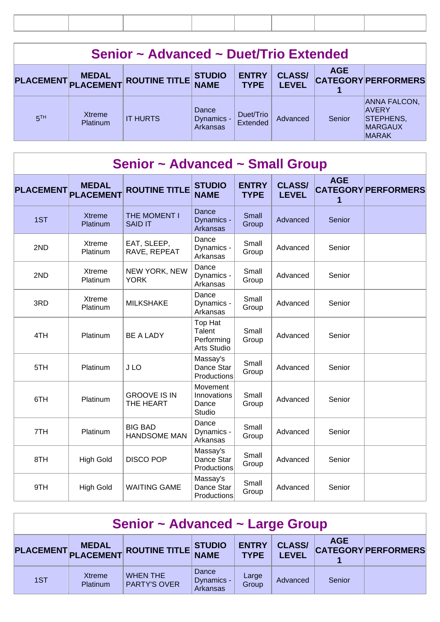|                  | Senior ~ Advanced ~ Duet/Trio Extended |                         |                                 |                             |                               |            |                                                                                           |  |  |  |  |
|------------------|----------------------------------------|-------------------------|---------------------------------|-----------------------------|-------------------------------|------------|-------------------------------------------------------------------------------------------|--|--|--|--|
| <b>PLACEMENT</b> | <b>MEDAL</b>                           | PLACEMENT ROUTINE TITLE | <b>STUDIO</b><br><b>NAME</b>    | <b>ENTRY</b><br><b>TYPE</b> | <b>CLASS/</b><br><b>LEVEL</b> | <b>AGE</b> | <b>CATEGORY PERFORMERS</b>                                                                |  |  |  |  |
| 5TH              | <b>Xtreme</b><br><b>Platinum</b>       | <b>IT HURTS</b>         | Dance<br>Dynamics -<br>Arkansas | Duet/Trio<br>Extended       | Advanced                      | Senior     | <b>ANNA FALCON,</b><br><b>AVERY</b><br><b>STEPHENS,</b><br><b>MARGAUX</b><br><b>MARAK</b> |  |  |  |  |

|                  | Senior ~ Advanced ~ Small Group  |                                       |                                                       |                             |                               |                 |                            |  |  |  |  |
|------------------|----------------------------------|---------------------------------------|-------------------------------------------------------|-----------------------------|-------------------------------|-----------------|----------------------------|--|--|--|--|
| <b>PLACEMENT</b> | <b>MEDAL</b><br><b>PLACEMENT</b> | <b>ROUTINE TITLE</b>                  | <b>STUDIO</b><br><b>NAME</b>                          | <b>ENTRY</b><br><b>TYPE</b> | <b>CLASS/</b><br><b>LEVEL</b> | <b>AGE</b><br>1 | <b>CATEGORY PERFORMERS</b> |  |  |  |  |
| 1ST              | <b>Xtreme</b><br>Platinum        | THE MOMENT I<br><b>SAID IT</b>        | Dance<br>Dynamics -<br>Arkansas                       | Small<br>Group              | Advanced                      | Senior          |                            |  |  |  |  |
| 2ND              | Xtreme<br>Platinum               | EAT, SLEEP,<br>RAVE, REPEAT           | Dance<br>Dynamics -<br>Arkansas                       | Small<br>Group              | Advanced                      | Senior          |                            |  |  |  |  |
| 2ND              | Xtreme<br>Platinum               | NEW YORK, NEW<br><b>YORK</b>          | Dance<br>Dynamics -<br>Arkansas                       | Small<br>Group              | Advanced                      | Senior          |                            |  |  |  |  |
| 3RD              | Xtreme<br>Platinum               | <b>MILKSHAKE</b>                      | Dance<br>Dynamics -<br>Arkansas                       | Small<br>Group              | Advanced                      | Senior          |                            |  |  |  |  |
| 4TH              | Platinum                         | <b>BE A LADY</b>                      | Top Hat<br>Talent<br>Performing<br><b>Arts Studio</b> | Small<br>Group              | Advanced                      | Senior          |                            |  |  |  |  |
| 5TH              | Platinum                         | J LO                                  | Massay's<br>Dance Star<br>Productions                 | Small<br>Group              | Advanced                      | Senior          |                            |  |  |  |  |
| 6TH              | Platinum                         | <b>GROOVE IS IN</b><br>THE HEART      | Movement<br>Innovations<br>Dance<br>Studio            | Small<br>Group              | Advanced                      | Senior          |                            |  |  |  |  |
| 7TH              | Platinum                         | <b>BIG BAD</b><br><b>HANDSOME MAN</b> | Dance<br>Dynamics -<br>Arkansas                       | Small<br>Group              | Advanced                      | Senior          |                            |  |  |  |  |
| 8TH              | <b>High Gold</b>                 | <b>DISCO POP</b>                      | Massay's<br>Dance Star<br>Productions                 | Small<br>Group              | Advanced                      | Senior          |                            |  |  |  |  |
| 9TH              | <b>High Gold</b>                 | <b>WAITING GAME</b>                   | Massay's<br>Dance Star<br>Productions                 | Small<br>Group              | Advanced                      | Senior          |                            |  |  |  |  |

| Senior ~ Advanced ~ Large Group |                           |                                        |                                 |                             |                               |            |                            |  |
|---------------------------------|---------------------------|----------------------------------------|---------------------------------|-----------------------------|-------------------------------|------------|----------------------------|--|
|                                 |                           | PLACEMENT MEDAL ROUTINE TITLE STUDIO   |                                 | <b>ENTRY</b><br><b>TYPE</b> | <b>CLASS/</b><br><b>LEVEL</b> | <b>AGE</b> | <b>CATEGORY PERFORMERS</b> |  |
| 1ST                             | Xtreme<br><b>Platinum</b> | <b>WHEN THE</b><br><b>PARTY'S OVER</b> | Dance<br>Dynamics -<br>Arkansas | Large<br>Group              | Advanced                      | Senior     |                            |  |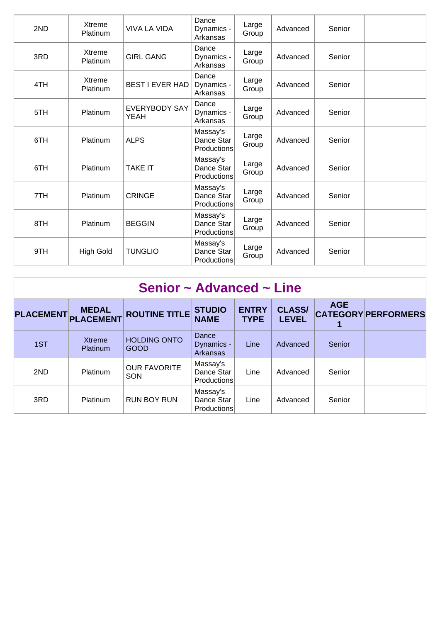| 2ND | Xtreme<br>Platinum | <b>VIVA LA VIDA</b>                 | Dance<br>Dynamics -<br>Arkansas              | Large<br>Group | Advanced | Senior |  |
|-----|--------------------|-------------------------------------|----------------------------------------------|----------------|----------|--------|--|
| 3RD | Xtreme<br>Platinum | <b>GIRL GANG</b>                    | Dance<br>Dynamics -<br>Arkansas              | Large<br>Group | Advanced | Senior |  |
| 4TH | Xtreme<br>Platinum | BEST I EVER HAD                     | Dance<br>Dynamics -<br>Arkansas              | Large<br>Group | Advanced | Senior |  |
| 5TH | Platinum           | <b>EVERYBODY SAY</b><br><b>YEAH</b> | Dance<br>Dynamics -<br>Arkansas              | Large<br>Group | Advanced | Senior |  |
| 6TH | Platinum           | <b>ALPS</b>                         | Massay's<br>Dance Star<br><b>Productions</b> | Large<br>Group | Advanced | Senior |  |
| 6TH | Platinum           | <b>TAKE IT</b>                      | Massay's<br>Dance Star<br>Productions        | Large<br>Group | Advanced | Senior |  |
| 7TH | Platinum           | <b>CRINGE</b>                       | Massay's<br>Dance Star<br>Productions        | Large<br>Group | Advanced | Senior |  |
| 8TH | Platinum           | <b>BEGGIN</b>                       | Massay's<br>Dance Star<br><b>Productions</b> | Large<br>Group | Advanced | Senior |  |
| 9TH | High Gold          | <b>TUNGLIO</b>                      | Massay's<br>Dance Star<br>Productions        | Large<br>Group | Advanced | Senior |  |

| Senior $\sim$ Advanced $\sim$ Line |                                  |                                    |                                        |                             |                               |            |                            |  |  |
|------------------------------------|----------------------------------|------------------------------------|----------------------------------------|-----------------------------|-------------------------------|------------|----------------------------|--|--|
| <b>PLACEMENT</b>                   | <b>MEDAL</b><br><b>PLACEMENT</b> | <b>ROUTINE TITLE</b>               | <b>STUDIO</b><br><b>NAME</b>           | <b>ENTRY</b><br><b>TYPE</b> | <b>CLASS/</b><br><b>LEVEL</b> | <b>AGE</b> | <b>CATEGORY PERFORMERS</b> |  |  |
| 1ST                                | <b>Xtreme</b><br>Platinum        | <b>HOLDING ONTO</b><br><b>GOOD</b> | Dance<br>Dynamics -<br><b>Arkansas</b> | Line                        | Advanced                      | Senior     |                            |  |  |
| 2ND                                | Platinum                         | <b>OUR FAVORITE</b><br>SON         | Massay's<br>Dance Star<br>Productions  | Line                        | Advanced                      | Senior     |                            |  |  |
| 3RD                                | Platinum                         | <b>RUN BOY RUN</b>                 | Massay's<br>Dance Star<br>Productions  | Line                        | Advanced                      | Senior     |                            |  |  |